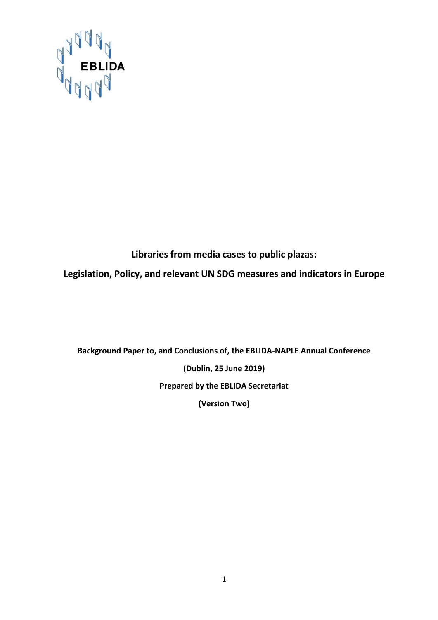

**Libraries from media cases to public plazas:**

**Legislation, Policy, and relevant UN SDG measures and indicators in Europe**

**Background Paper to, and Conclusions of, the EBLIDA-NAPLE Annual Conference**

**(Dublin, 25 June 2019)**

**Prepared by the EBLIDA Secretariat**

**(Version Two)**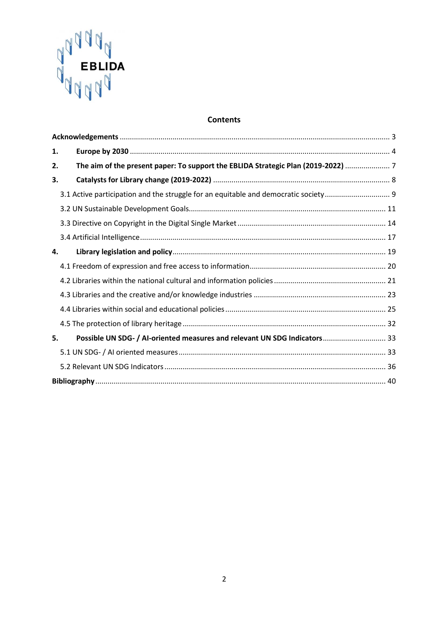

## **Contents**

| 1. |                                                                                   |  |
|----|-----------------------------------------------------------------------------------|--|
| 2. | The aim of the present paper: To support the EBLIDA Strategic Plan (2019-2022)  7 |  |
| 3. |                                                                                   |  |
|    | 3.1 Active participation and the struggle for an equitable and democratic society |  |
|    |                                                                                   |  |
|    |                                                                                   |  |
|    |                                                                                   |  |
| 4. |                                                                                   |  |
|    |                                                                                   |  |
|    |                                                                                   |  |
|    |                                                                                   |  |
|    |                                                                                   |  |
|    |                                                                                   |  |
| 5. | Possible UN SDG- / Al-oriented measures and relevant UN SDG Indicators 33         |  |
|    |                                                                                   |  |
|    |                                                                                   |  |
|    |                                                                                   |  |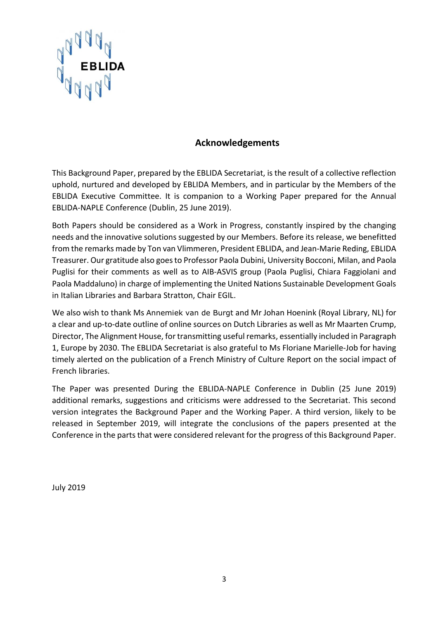

## **Acknowledgements**

<span id="page-2-0"></span>This Background Paper, prepared by the EBLIDA Secretariat, is the result of a collective reflection uphold, nurtured and developed by EBLIDA Members, and in particular by the Members of the EBLIDA Executive Committee. It is companion to a Working Paper prepared for the Annual EBLIDA-NAPLE Conference (Dublin, 25 June 2019).

Both Papers should be considered as a Work in Progress, constantly inspired by the changing needs and the innovative solutions suggested by our Members. Before its release, we benefitted from the remarks made by Ton van Vlimmeren, President EBLIDA, and Jean-Marie Reding, EBLIDA Treasurer. Our gratitude also goes to Professor Paola Dubini, University Bocconi, Milan, and Paola Puglisi for their comments as well as to AIB-ASVIS group (Paola Puglisi, Chiara Faggiolani and Paola Maddaluno) in charge of implementing the United Nations Sustainable Development Goals in Italian Libraries and Barbara Stratton, Chair EGIL.

We also wish to thank Ms Annemiek van de Burgt and Mr Johan Hoenink (Royal Library, NL) for a clear and up-to-date outline of online sources on Dutch Libraries as well as Mr Maarten Crump, Director, The Alignment House, for transmitting useful remarks, essentially included in Paragraph 1, Europe by 2030. The EBLIDA Secretariat is also grateful to Ms Floriane Marielle-Job for having timely alerted on the publication of a French Ministry of Culture Report on the social impact of French libraries.

The Paper was presented During the EBLIDA-NAPLE Conference in Dublin (25 June 2019) additional remarks, suggestions and criticisms were addressed to the Secretariat. This second version integrates the Background Paper and the Working Paper. A third version, likely to be released in September 2019, will integrate the conclusions of the papers presented at the Conference in the parts that were considered relevant for the progress of this Background Paper.

July 2019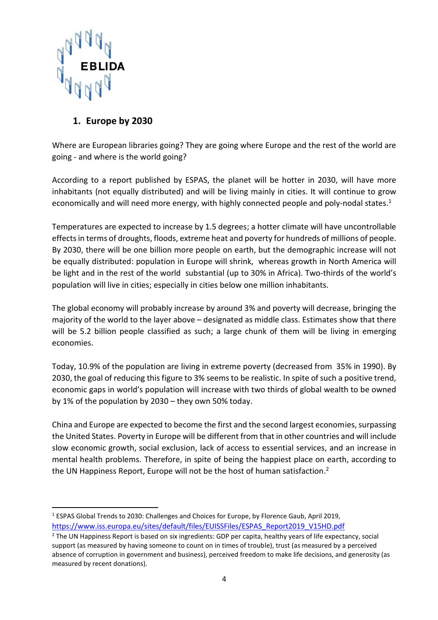

# <span id="page-3-0"></span>**1. Europe by 2030**

Where are European libraries going? They are going where Europe and the rest of the world are going - and where is the world going?

According to a report published by ESPAS, the planet will be hotter in 2030, will have more inhabitants (not equally distributed) and will be living mainly in cities. It will continue to grow economically and will need more energy, with highly connected people and poly-nodal states.<sup>1</sup>

Temperatures are expected to increase by 1.5 degrees; a hotter climate will have uncontrollable effects in terms of droughts, floods, extreme heat and poverty for hundreds of millions of people. By 2030, there will be one billion more people on earth, but the demographic increase will not be equally distributed: population in Europe will shrink, whereas growth in North America will be light and in the rest of the world substantial (up to 30% in Africa). Two-thirds of the world's population will live in cities; especially in cities below one million inhabitants.

The global economy will probably increase by around 3% and poverty will decrease, bringing the majority of the world to the layer above – designated as middle class. Estimates show that there will be 5.2 billion people classified as such; a large chunk of them will be living in emerging economies.

Today, 10.9% of the population are living in extreme poverty (decreased from 35% in 1990). By 2030, the goal of reducing this figure to 3% seems to be realistic. In spite of such a positive trend, economic gaps in world's population will increase with two thirds of global wealth to be owned by 1% of the population by 2030 – they own 50% today.

China and Europe are expected to become the first and the second largest economies, surpassing the United States. Poverty in Europe will be different from that in other countries and will include slow economic growth, social exclusion, lack of access to essential services, and an increase in mental health problems. Therefore, in spite of being the happiest place on earth, according to the UN Happiness Report, Europe will not be the host of human satisfaction.<sup>2</sup>

<sup>1</sup> ESPAS Global Trends to 2030: Challenges and Choices for Europe, by Florence Gaub, April 2019, [https://www.iss.europa.eu/sites/default/files/EUISSFiles/ESPAS\\_Report2019\\_V15HD.pdf](https://www.iss.europa.eu/sites/default/files/EUISSFiles/ESPAS_Report2019_V15HD.pdf)

<sup>2</sup> The UN Happiness Report is based on six ingredients: GDP per capita, healthy years of life expectancy, social support (as measured by having someone to count on in times of trouble), trust (as measured by a perceived absence of corruption in government and business), perceived freedom to make life decisions, and generosity (as measured by recent donations).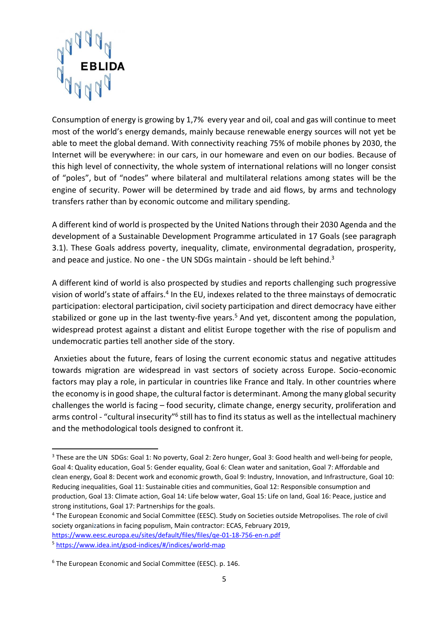

Consumption of energy is growing by 1,7% every year and oil, coal and gas will continue to meet most of the world's energy demands, mainly because renewable energy sources will not yet be able to meet the global demand. With connectivity reaching 75% of mobile phones by 2030, the Internet will be everywhere: in our cars, in our homeware and even on our bodies. Because of this high level of connectivity, the whole system of international relations will no longer consist of "poles", but of "nodes" where bilateral and multilateral relations among states will be the engine of security. Power will be determined by trade and aid flows, by arms and technology transfers rather than by economic outcome and military spending.

A different kind of world is prospected by the United Nations through their 2030 Agenda and the development of a Sustainable Development Programme articulated in 17 Goals (see paragraph 3.1). These Goals address poverty, inequality, climate, environmental degradation, prosperity, and peace and justice. No one - the UN SDGs maintain - should be left behind.<sup>3</sup>

A different kind of world is also prospected by studies and reports challenging such progressive vision of world's state of affairs.<sup>4</sup> In the EU, indexes related to the three mainstays of democratic participation: electoral participation, civil society participation and direct democracy have either stabilized or gone up in the last twenty-five years.<sup>5</sup> And yet, discontent among the population, widespread protest against a distant and elitist Europe together with the rise of populism and undemocratic parties tell another side of the story.

Anxieties about the future, fears of losing the current economic status and negative attitudes towards migration are widespread in vast sectors of society across Europe. Socio-economic factors may play a role, in particular in countries like France and Italy. In other countries where the economy is in good shape, the cultural factor is determinant. Among the many global security challenges the world is facing – food security, climate change, energy security, proliferation and arms control - "cultural insecurity"<sup>6</sup> still has to find its status as well as the intellectual machinery and the methodological tools designed to confront it.

[https://www.eesc.europa.eu/sites/default/files/files/qe-01-18-756-en-n.pdf](https://webmail.kb.nl/owa/redir.aspx?C=3VcN27X88npxlodxgzKu3O0p6vDHxtIuwbO1ScOLFwVWIjpSoMnWCA..&URL=https%3a%2f%2fwww.eesc.europa.eu%2fsites%2fdefault%2ffiles%2ffiles%2fqe-01-18-756-en-n.pdf) <sup>5</sup> [https://www.idea.int/gsod-indices/#/indices/world-map](https://webmail.kb.nl/owa/redir.aspx?C=4nbr6uXR9GFEFiEEYaWl9Jfx8Biz9r0IqGU7WnCUxOhWIjpSoMnWCA..&URL=https%3a%2f%2fwww.idea.int%2fgsod-indices%2f%23%2findices%2fworld-map)

<sup>&</sup>lt;sup>3</sup> These are the UN SDGs: [Goal 1: No poverty,](https://en.wikipedia.org/wiki/Sustainable_Development_Goals#Goal_1:_No_poverty) [Goal 2: Zero hunger,](https://en.wikipedia.org/wiki/Sustainable_Development_Goals#Goal_2:_Zero_hunger) Goal 3: Good health and well-being for people, [Goal 4: Quality education,](https://en.wikipedia.org/wiki/Sustainable_Development_Goals#Goal_4:_Quality_education) [Goal 5: Gender equality,](https://en.wikipedia.org/wiki/Sustainable_Development_Goals#Goal_5:_Gender_equality) [Goal 6: Clean water and sanitation,](https://en.wikipedia.org/wiki/Sustainable_Development_Goals#Goal_6:_Clean_water_and_sanitation) [Goal 7: Affordable and](https://en.wikipedia.org/wiki/Sustainable_Development_Goals#Goal_7:_Affordable_and_clean_energy)  [clean energy,](https://en.wikipedia.org/wiki/Sustainable_Development_Goals#Goal_7:_Affordable_and_clean_energy) [Goal 8: Decent work and economic growth,](https://en.wikipedia.org/wiki/Sustainable_Development_Goals#Goal_8:_Decent_work_and_economic_growth) [Goal 9: Industry, Innovation, and Infrastructure,](https://en.wikipedia.org/wiki/Sustainable_Development_Goals#Goal_9:_Industry,_Innovation,_and_Infrastructure) [Goal 10:](https://en.wikipedia.org/wiki/Sustainable_Development_Goals#Goal_10:_Reducing_inequalities)  [Reducing inequalities,](https://en.wikipedia.org/wiki/Sustainable_Development_Goals#Goal_10:_Reducing_inequalities) [Goal 11: Sustainable cities and communities,](https://en.wikipedia.org/wiki/Sustainable_Development_Goals#Goal_11:_Sustainable_cities_and_communities) [Goal 12: Responsible consumption and](https://en.wikipedia.org/wiki/Sustainable_Development_Goals#Goal_12:_Responsible_consumption_and_production)  [production,](https://en.wikipedia.org/wiki/Sustainable_Development_Goals#Goal_12:_Responsible_consumption_and_production) [Goal 13: Climate action,](https://en.wikipedia.org/wiki/Sustainable_Development_Goals#Goal_13:_Climate_action) [Goal 14: Life below water,](https://en.wikipedia.org/wiki/Sustainable_Development_Goals#Goal_14:_Life_below_water) [Goal 15: Life on land,](https://en.wikipedia.org/wiki/Sustainable_Development_Goals#Goal_15:_Life_on_land) [Goal 16: Peace, justice and](https://en.wikipedia.org/wiki/Sustainable_Development_Goals#Goal_16:_Peace,_justice_and_strong_institutions)  [strong institutions,](https://en.wikipedia.org/wiki/Sustainable_Development_Goals#Goal_16:_Peace,_justice_and_strong_institutions) [Goal 17: Partnerships for the goals.](https://en.wikipedia.org/wiki/Sustainable_Development_Goals#Goal_17:_Partnerships_for_the_goals)

<sup>4</sup> The European Economic and Social Committee (EESC). Study on Societies outside Metropolises. The role of civil society organizations in facing populism, Main contractor: ECAS, February 2019,

<sup>6</sup> The European Economic and Social Committee (EESC). p. 146.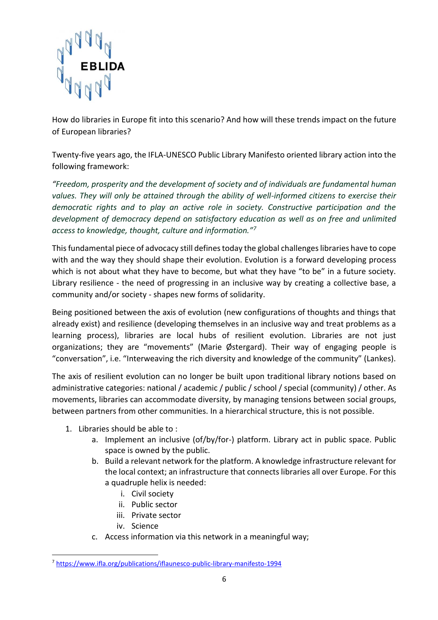

How do libraries in Europe fit into this scenario? And how will these trends impact on the future of European libraries?

Twenty-five years ago, the IFLA-UNESCO Public Library Manifesto oriented library action into the following framework:

*"Freedom, prosperity and the development of society and of individuals are fundamental human values. They will only be attained through the ability of well-informed citizens to exercise their democratic rights and to play an active role in society. Constructive participation and the development of democracy depend on satisfactory education as well as on free and unlimited access to knowledge, thought, culture and information."<sup>7</sup>*

This fundamental piece of advocacy still defines today the global challenges libraries have to cope with and the way they should shape their evolution. Evolution is a forward developing process which is not about what they have to become, but what they have "to be" in a future society. Library resilience - the need of progressing in an inclusive way by creating a collective base, a community and/or society - shapes new forms of solidarity.

Being positioned between the axis of evolution (new configurations of thoughts and things that already exist) and resilience (developing themselves in an inclusive way and treat problems as a learning process), libraries are local hubs of resilient evolution. Libraries are not just organizations; they are "movements" (Marie Østergard). Their way of engaging people is "conversation", i.e. "Interweaving the rich diversity and knowledge of the community" (Lankes).

The axis of resilient evolution can no longer be built upon traditional library notions based on administrative categories: national / academic / public / school / special (community) / other. As movements, libraries can accommodate diversity, by managing tensions between social groups, between partners from other communities. In a hierarchical structure, this is not possible.

- 1. Libraries should be able to :
	- a. Implement an inclusive (of/by/for-) platform. Library act in public space. Public space is owned by the public.
	- b. Build a relevant network for the platform. A knowledge infrastructure relevant for the local context; an infrastructure that connects libraries all over Europe. For this a quadruple helix is needed:
		- i. Civil society
		- ii. Public sector
		- iii. Private sector
		- iv. Science

1

c. Access information via this network in a meaningful way;

<sup>7</sup> <https://www.ifla.org/publications/iflaunesco-public-library-manifesto-1994>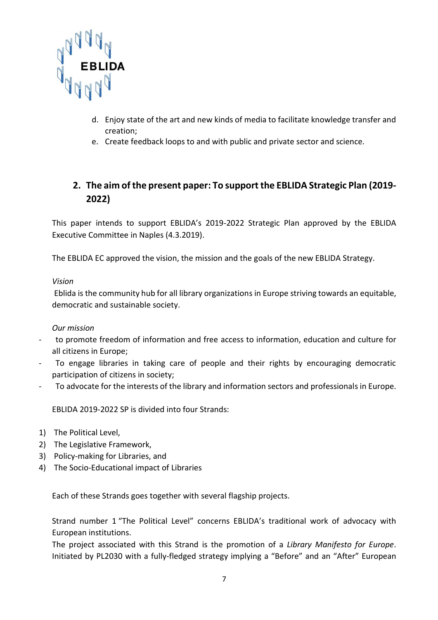

- d. Enjoy state of the art and new kinds of media to facilitate knowledge transfer and creation;
- e. Create feedback loops to and with public and private sector and science.

# <span id="page-6-0"></span>**2. The aim of the present paper: To support the EBLIDA Strategic Plan (2019- 2022)**

This paper intends to support EBLIDA's 2019-2022 Strategic Plan approved by the EBLIDA Executive Committee in Naples (4.3.2019).

The EBLIDA EC approved the vision, the mission and the goals of the new EBLIDA Strategy.

*Vision* 

Eblida is the community hub for all library organizations in Europe striving towards an equitable, democratic and sustainable society.

*Our mission*

- to promote freedom of information and free access to information, education and culture for all citizens in Europe;
- To engage libraries in taking care of people and their rights by encouraging democratic participation of citizens in society;
- To advocate for the interests of the library and information sectors and professionals in Europe.

EBLIDA 2019-2022 SP is divided into four Strands:

- 1) The Political Level,
- 2) The Legislative Framework,
- 3) Policy-making for Libraries, and
- 4) The Socio-Educational impact of Libraries

Each of these Strands goes together with several flagship projects.

Strand number 1 "The Political Level" concerns EBLIDA's traditional work of advocacy with European institutions.

The project associated with this Strand is the promotion of a *Library Manifesto for Europe*. Initiated by PL2030 with a fully-fledged strategy implying a "Before" and an "After" European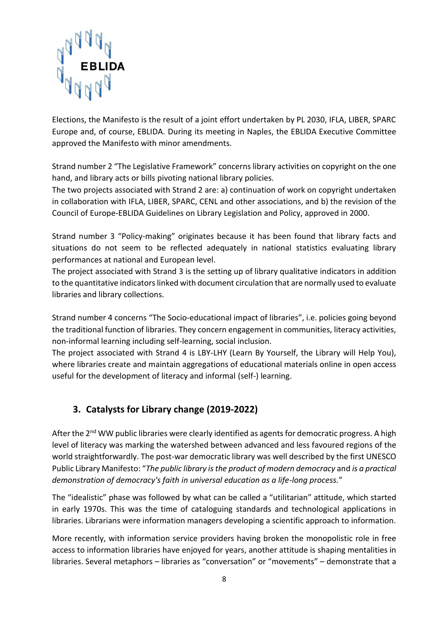

Elections, the Manifesto is the result of a joint effort undertaken by PL 2030, IFLA, LIBER, SPARC Europe and, of course, EBLIDA. During its meeting in Naples, the EBLIDA Executive Committee approved the Manifesto with minor amendments.

Strand number 2 "The Legislative Framework" concerns library activities on copyright on the one hand, and library acts or bills pivoting national library policies.

The two projects associated with Strand 2 are: a) continuation of work on copyright undertaken in collaboration with IFLA, LIBER, SPARC, CENL and other associations, and b) the revision of the Council of Europe-EBLIDA Guidelines on Library Legislation and Policy, approved in 2000.

Strand number 3 "Policy-making" originates because it has been found that library facts and situations do not seem to be reflected adequately in national statistics evaluating library performances at national and European level.

The project associated with Strand 3 is the setting up of library qualitative indicators in addition to the quantitative indicators linked with document circulation that are normally used to evaluate libraries and library collections.

Strand number 4 concerns "The Socio-educational impact of libraries", i.e. policies going beyond the traditional function of libraries. They concern engagement in communities, literacy activities, non-informal learning including self-learning, social inclusion.

The project associated with Strand 4 is LBY-LHY (Learn By Yourself, the Library will Help You), where libraries create and maintain aggregations of educational materials online in open access useful for the development of literacy and informal (self-) learning.

# <span id="page-7-0"></span>**3. Catalysts for Library change (2019-2022)**

After the  $2^{nd}$  WW public libraries were clearly identified as agents for democratic progress. A high level of literacy was marking the watershed between advanced and less favoured regions of the world straightforwardly. The post-war democratic library was well described by the first UNESCO Public Library Manifesto: "*The public library is the product of modern democracy* and *is a practical demonstration of democracy's faith in universal education as a life-long process.*"

The "idealistic" phase was followed by what can be called a "utilitarian" attitude, which started in early 1970s. This was the time of cataloguing standards and technological applications in libraries. Librarians were information managers developing a scientific approach to information.

More recently, with information service providers having broken the monopolistic role in free access to information libraries have enjoyed for years, another attitude is shaping mentalities in libraries. Several metaphors – libraries as "conversation" or "movements" – demonstrate that a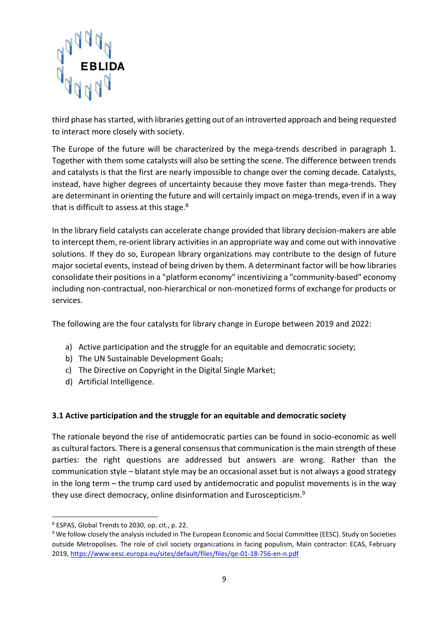

third phase has started, with libraries getting out of an introverted approach and being requested to interact more closely with society.

The Europe of the future will be characterized by the mega-trends described in paragraph 1. Together with them some catalysts will also be setting the scene. The difference between trends and catalysts is that the first are nearly impossible to change over the coming decade. Catalysts, instead, have higher degrees of uncertainty because they move faster than mega-trends. They are determinant in orienting the future and will certainly impact on mega-trends, even if in a way that is difficult to assess at this stage.<sup>8</sup>

In the library field catalysts can accelerate change provided that library decision-makers are able to intercept them, re-orient library activities in an appropriate way and come out with innovative solutions. If they do so, European library organizations may contribute to the design of future major societal events, instead of being driven by them. A determinant factor will be how libraries consolidate their positions in a "platform economy" incentivizing a "community-based" economy including non-contractual, non-hierarchical or non-monetized forms of exchange for products or services.

The following are the four catalysts for library change in Europe between 2019 and 2022:

- a) Active participation and the struggle for an equitable and democratic society;
- b) The UN Sustainable Development Goals;
- c) The Directive on Copyright in the Digital Single Market;
- d) Artificial Intelligence.

## <span id="page-8-0"></span>**3.1 Active participation and the struggle for an equitable and democratic society**

The rationale beyond the rise of antidemocratic parties can be found in socio-economic as well as cultural factors. There is a general consensus that communication is the main strength of these parties: the right questions are addressed but answers are wrong. Rather than the communication style – blatant style may be an occasional asset but is not always a good strategy in the long term – the trump card used by antidemocratic and populist movements is in the way they use direct democracy, online disinformation and Euroscepticism.<sup>9</sup>

1

<sup>8</sup> ESPAS, Global Trends to 2030, op. cit., p. 22.

<sup>9</sup> We follow closely the analysis included in The European Economic and Social Committee (EESC). Study on Societies outside Metropolises. The role of civil society organizations in facing populism, Main contractor: ECAS, February 2019, [https://www.eesc.europa.eu/sites/default/files/files/qe-01-18-756-en-n.pdf](https://webmail.kb.nl/owa/redir.aspx?C=3VcN27X88npxlodxgzKu3O0p6vDHxtIuwbO1ScOLFwVWIjpSoMnWCA..&URL=https%3a%2f%2fwww.eesc.europa.eu%2fsites%2fdefault%2ffiles%2ffiles%2fqe-01-18-756-en-n.pdf)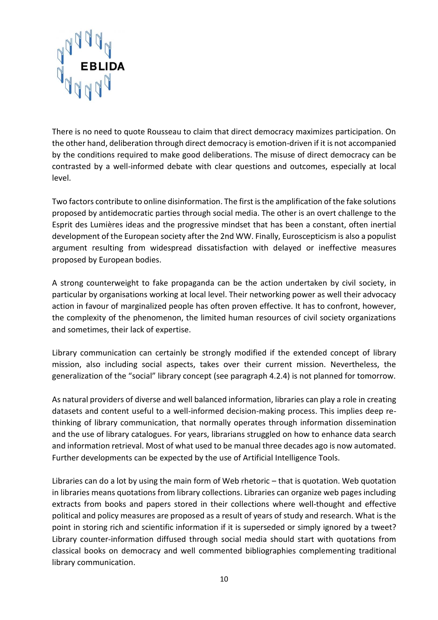

There is no need to quote Rousseau to claim that direct democracy maximizes participation. On the other hand, deliberation through direct democracy is emotion-driven if it is not accompanied by the conditions required to make good deliberations. The misuse of direct democracy can be contrasted by a well-informed debate with clear questions and outcomes, especially at local level.

Two factors contribute to online disinformation. The first is the amplification of the fake solutions proposed by antidemocratic parties through social media. The other is an overt challenge to the Esprit des Lumières ideas and the progressive mindset that has been a constant, often inertial development of the European society after the 2nd WW. Finally, Euroscepticism is also a populist argument resulting from widespread dissatisfaction with delayed or ineffective measures proposed by European bodies.

A strong counterweight to fake propaganda can be the action undertaken by civil society, in particular by organisations working at local level. Their networking power as well their advocacy action in favour of marginalized people has often proven effective. It has to confront, however, the complexity of the phenomenon, the limited human resources of civil society organizations and sometimes, their lack of expertise.

Library communication can certainly be strongly modified if the extended concept of library mission, also including social aspects, takes over their current mission. Nevertheless, the generalization of the "social" library concept (see paragraph 4.2.4) is not planned for tomorrow.

As natural providers of diverse and well balanced information, libraries can play a role in creating datasets and content useful to a well-informed decision-making process. This implies deep rethinking of library communication, that normally operates through information dissemination and the use of library catalogues. For years, librarians struggled on how to enhance data search and information retrieval. Most of what used to be manual three decades ago is now automated. Further developments can be expected by the use of Artificial Intelligence Tools.

Libraries can do a lot by using the main form of Web rhetoric – that is quotation. Web quotation in libraries means quotations from library collections. Libraries can organize web pages including extracts from books and papers stored in their collections where well-thought and effective political and policy measures are proposed as a result of years of study and research. What is the point in storing rich and scientific information if it is superseded or simply ignored by a tweet? Library counter-information diffused through social media should start with quotations from classical books on democracy and well commented bibliographies complementing traditional library communication.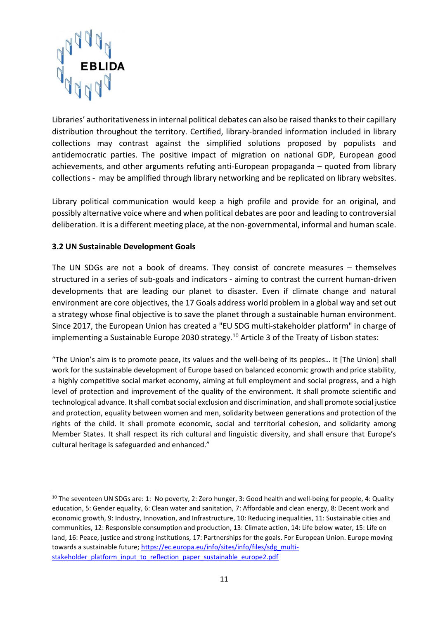

Libraries' authoritativeness in internal political debates can also be raised thanks to their capillary distribution throughout the territory. Certified, library-branded information included in library collections may contrast against the simplified solutions proposed by populists and antidemocratic parties. The positive impact of migration on national GDP, European good achievements, and other arguments refuting anti-European propaganda – quoted from library collections - may be amplified through library networking and be replicated on library websites.

Library political communication would keep a high profile and provide for an original, and possibly alternative voice where and when political debates are poor and leading to controversial deliberation. It is a different meeting place, at the non-governmental, informal and human scale.

#### <span id="page-10-0"></span>**3.2 UN Sustainable Development Goals**

1

The UN SDGs are not a book of dreams. They consist of concrete measures – themselves structured in a series of sub-goals and indicators - aiming to contrast the current human-driven developments that are leading our planet to disaster. Even if climate change and natural environment are core objectives, the 17 Goals address world problem in a global way and set out a strategy whose final objective is to save the planet through a sustainable human environment. Since 2017, the European Union has created a "EU SDG multi-stakeholder platform" in charge of implementing a Sustainable Europe 2030 strategy.<sup>10</sup> Article 3 of the Treaty of Lisbon states:

"The Union's aim is to promote peace, its values and the well-being of its peoples… It [The Union] shall work for the sustainable development of Europe based on balanced economic growth and price stability, a highly competitive social market economy, aiming at full employment and social progress, and a high level of protection and improvement of the quality of the environment. It shall promote scientific and technological advance. It shall combat social exclusion and discrimination, and shall promote social justice and protection, equality between women and men, solidarity between generations and protection of the rights of the child. It shall promote economic, social and territorial cohesion, and solidarity among Member States. It shall respect its rich cultural and linguistic diversity, and shall ensure that Europe's cultural heritage is safeguarded and enhanced."

 $10$  The seventeen UN SDGs are: 1: No poverty, 2: Zero hunger, 3: Good health and well-being for people, 4: Quality [education, 5: Gender equality, 6: Clean water and sanitation, 7: Affordable and clean energy, 8: Decent work and](https://en.wikipedia.org/wiki/Sustainable_Development_Goals)  [economic growth, 9: Industry, Innovation, and Infrastructure, 10: Reducing inequalities, 11: Sustainable cities and](https://en.wikipedia.org/wiki/Sustainable_Development_Goals)  [communities, 12: Responsible consumption and production, 13: Climate action, 14: Life below water, 15: Life on](https://en.wikipedia.org/wiki/Sustainable_Development_Goals)  [land, 16: Peace, justice and strong institutions, 17: Partnerships for the goals.](https://en.wikipedia.org/wiki/Sustainable_Development_Goals) For European Union. Europe moving towards a sustainable future; [https://ec.europa.eu/info/sites/info/files/sdg\\_multi](https://ec.europa.eu/info/sites/info/files/sdg_multi-stakeholder_platform_input_to_reflection_paper_sustainable_europe2.pdf)[stakeholder\\_platform\\_input\\_to\\_reflection\\_paper\\_sustainable\\_europe2.pdf](https://ec.europa.eu/info/sites/info/files/sdg_multi-stakeholder_platform_input_to_reflection_paper_sustainable_europe2.pdf)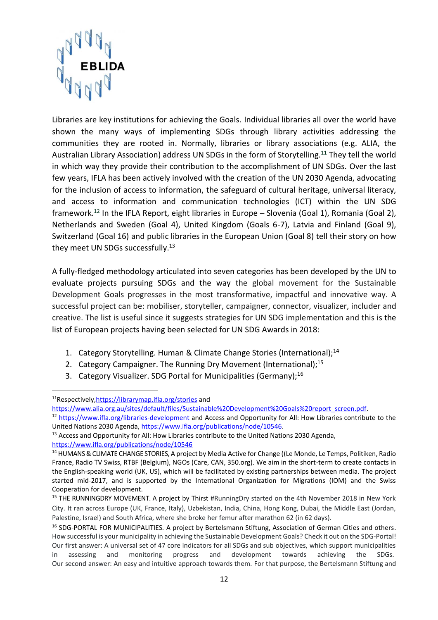

Libraries are key institutions for achieving the Goals. Individual libraries all over the world have shown the many ways of implementing SDGs through library activities addressing the communities they are rooted in. Normally, libraries or library associations (e.g. ALIA, the Australian Library Association) address UN SDGs in the form of Storytelling.<sup>11</sup> They tell the world in which way they provide their contribution to the accomplishment of UN SDGs. Over the last few years, IFLA has been actively involved with the creation of the UN 2030 Agenda, advocating for the inclusion of access to information, the safeguard of cultural heritage, universal literacy, and access to information and communication technologies (ICT) within the UN SDG framework. <sup>12</sup> In the IFLA Report, eight libraries in Europe – Slovenia (Goal 1), Romania (Goal 2), Netherlands and Sweden (Goal 4), United Kingdom (Goals 6-7), Latvia and Finland (Goal 9), Switzerland (Goal 16) and public libraries in the European Union (Goal 8) tell their story on how they meet UN SDGs successfully.<sup>13</sup>

A fully-fledged methodology articulated into seven categories has been developed by the UN to evaluate projects pursuing SDGs and the way the global movement for the Sustainable Development Goals progresses in the most transformative, impactful and innovative way. A successful project can be: mobiliser, storyteller, campaigner, connector, visualizer, includer and creative. The list is useful since it suggests strategies for UN SDG implementation and this is the list of European projects having been selected for UN SDG Awards in 2018:

- 1. Category Storytelling. Human & Climate Change Stories (International);<sup>14</sup>
- 2. Category Campaigner. The Running Dry Movement (International);<sup>15</sup>
- 3. Category Visualizer. SDG Portal for Municipalities (Germany):<sup>16</sup>

<sup>11</sup>Respectively[,https://librarymap.ifla.org/stories](https://librarymap.ifla.org/stories) and [https://www.alia.org.au/sites/default/files/Sustainable%20Development%20Goals%20report\\_screen.pdf.](https://www.alia.org.au/sites/default/files/Sustainable%20Development%20Goals%20report_screen.pdf)

<sup>12</sup> <https://www.ifla.org/libraries-development> and Access and Opportunity for All: How Libraries contribute to the United Nations 2030 Agenda, [https://www.ifla.org/publications/node/10546.](https://www.ifla.org/publications/node/10546)

<sup>&</sup>lt;sup>13</sup> Access and Opportunity for All: How Libraries contribute to the United Nations 2030 Agenda, <https://www.ifla.org/publications/node/10546>

<sup>&</sup>lt;sup>14</sup> HUMANS & CLIMATE CHANGE STORIES, A project by Media Active for Change ((Le Monde, Le Temps, Politiken, Radio France, Radio TV Swiss, RTBF (Belgium), NGOs (Care, CAN, 350.org). We aim in the short-term to create contacts in the English-speaking world (UK, US), which will be facilitated by existing partnerships between media. The project started mid-2017, and is supported by the International Organization for Migrations (IOM) and the Swiss Cooperation for development.

<sup>&</sup>lt;sup>15</sup> THE RUNNINGDRY MOVEMENT. A project by Thirst #RunningDry started on the 4th November 2018 in New York City. It ran across Europe (UK, France, Italy), Uzbekistan, India, China, Hong Kong, Dubai, the Middle East (Jordan, Palestine, Israel) and South Africa, where she broke her femur after marathon 62 (in 62 days).

<sup>16</sup> SDG-PORTAL FOR MUNICIPALITIES*.* A project by Bertelsmann Stiftung, Association of German Cities and others. How successful is your municipality in achieving the Sustainable Development Goals? Check it out on the SDG-Portal! Our first answer: A universal set of 47 core indicators for all SDGs and sub objectives, which support municipalities in assessing and monitoring progress and development towards achieving the SDGs. Our second answer: An easy and intuitive approach towards them. For that purpose, the Bertelsmann Stiftung and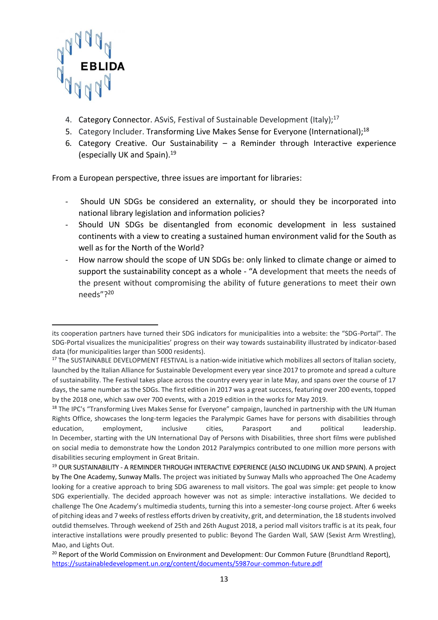

- 4. Category Connector, ASviS, Festival of Sustainable Development (Italy):<sup>17</sup>
- 5. Category Includer. Transforming Live Makes Sense for Everyone (International);<sup>18</sup>
- 6. Category Creative. Our Sustainability a Reminder through Interactive experience (especially UK and Spain). 19

From a European perspective, three issues are important for libraries:

- Should UN SDGs be considered an externality, or should they be incorporated into national library legislation and information policies?
- Should UN SDGs be disentangled from economic development in less sustained continents with a view to creating a sustained human environment valid for the South as well as for the North of the World?
- How narrow should the scope of UN SDGs be: only linked to climate change or aimed to support the sustainability concept as a whole - "A development that meets the needs of the present without compromising the ability of future generations to meet their own needs"? 20

its cooperation partners have turned their SDG indicators for municipalities into a website: the "SDG-Portal". The SDG-Portal visualizes the municipalities' progress on their way towards sustainability illustrated by indicator-based data (for municipalities larger than 5000 residents).

<sup>&</sup>lt;sup>17</sup> The SUSTAINABLE DEVELOPMENT FESTIVAL is a nation-wide initiative which mobilizes all sectors of Italian society, launched by the Italian Alliance for Sustainable Development every year since 2017 to promote and spread a culture of sustainability. The Festival takes place across the country every year in late May, and spans over the course of 17 days, the same number as the SDGs. The first edition in 2017 was a great success, featuring over 200 events, topped by the 2018 one, which saw over 700 events, with a 2019 edition in the works for May 2019.

<sup>&</sup>lt;sup>18</sup> The IPC's "Transforming Lives Makes Sense for Everyone" campaign, launched in partnership with the UN Human Rights Office, showcases the long-term legacies the Paralympic Games have for persons with disabilities through education, employment, inclusive cities, Parasport and political leadership. In December, starting with the UN International Day of Persons with Disabilities, three short films were published on social media to demonstrate how the London 2012 Paralympics contributed to one million more persons with disabilities securing employment in Great Britain.

<sup>19</sup> OUR SUSTAINABILITY - A REMINDER THROUGH INTERACTIVE EXPERIENCE (ALSO INCLUDING UK AND SPAIN). A project by The One Academy, Sunway Malls. The project was initiated by Sunway Malls who approached The One Academy looking for a creative approach to bring SDG awareness to mall visitors. The goal was simple: get people to know SDG experientially. The decided approach however was not as simple: interactive installations. We decided to challenge The One Academy's multimedia students, turning this into a semester-long course project. After 6 weeks of pitching ideas and 7 weeks of restless efforts driven by creativity, grit, and determination, the 18 students involved outdid themselves. Through weekend of 25th and 26th August 2018, a period mall visitors traffic is at its peak, four interactive installations were proudly presented to public: Beyond The Garden Wall, SAW (Sexist Arm Wrestling), Mao, and Lights Out.

<sup>&</sup>lt;sup>20</sup> Report of the World Commission on Environment and Development: Our Common Future (Brundtland Report), <https://sustainabledevelopment.un.org/content/documents/5987our-common-future.pdf>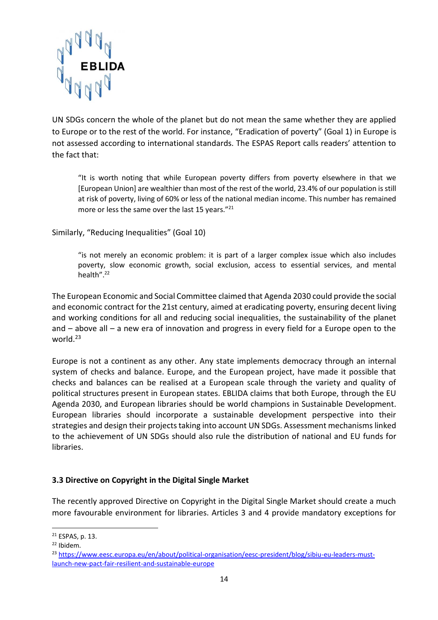

UN SDGs concern the whole of the planet but do not mean the same whether they are applied to Europe or to the rest of the world. For instance, "Eradication of poverty" (Goal 1) in Europe is not assessed according to international standards. The ESPAS Report calls readers' attention to the fact that:

"It is worth noting that while European poverty differs from poverty elsewhere in that we [European Union] are wealthier than most of the rest of the world, 23.4% of our population is still at risk of poverty, living of 60% or less of the national median income. This number has remained more or less the same over the last 15 years."<sup>21</sup>

Similarly, "Reducing Inequalities" (Goal 10)

"is not merely an economic problem: it is part of a larger complex issue which also includes poverty, slow economic growth, social exclusion, access to essential services, and mental health". 22

The European Economic and Social Committee claimed that Agenda 2030 could provide the social and economic contract for the 21st century, aimed at eradicating poverty, ensuring decent living and working conditions for all and reducing social inequalities, the sustainability of the planet and – above all – a new era of innovation and progress in every field for a Europe open to the world.<sup>23</sup>

Europe is not a continent as any other. Any state implements democracy through an internal system of checks and balance. Europe, and the European project, have made it possible that checks and balances can be realised at a European scale through the variety and quality of political structures present in European states. EBLIDA claims that both Europe, through the EU Agenda 2030, and European libraries should be world champions in Sustainable Development. European libraries should incorporate a sustainable development perspective into their strategies and design their projects taking into account UN SDGs. Assessment mechanisms linked to the achievement of UN SDGs should also rule the distribution of national and EU funds for libraries.

#### <span id="page-13-0"></span>**3.3 Directive on Copyright in the Digital Single Market**

The recently approved Directive on Copyright in the Digital Single Market should create a much more favourable environment for libraries. Articles 3 and 4 provide mandatory exceptions for

**.** 

<sup>21</sup> ESPAS, p. 13.

<sup>22</sup> Ibidem.

<sup>&</sup>lt;sup>23</sup> [https://www.eesc.europa.eu/en/about/political-organisation/eesc-president/blog/sibiu-eu-leaders-must](https://www.eesc.europa.eu/en/about/political-organisation/eesc-president/blog/sibiu-eu-leaders-must-launch-new-pact-fair-resilient-and-sustainable-europe)[launch-new-pact-fair-resilient-and-sustainable-europe](https://www.eesc.europa.eu/en/about/political-organisation/eesc-president/blog/sibiu-eu-leaders-must-launch-new-pact-fair-resilient-and-sustainable-europe)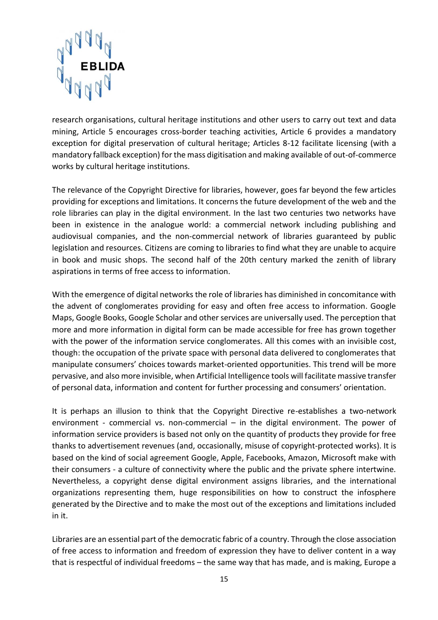

research organisations, cultural heritage institutions and other users to carry out text and data mining, Article 5 encourages cross-border teaching activities, Article 6 provides a mandatory exception for digital preservation of cultural heritage; Articles 8-12 facilitate licensing (with a mandatory fallback exception) for the mass digitisation and making available of out-of-commerce works by cultural heritage institutions.

The relevance of the Copyright Directive for libraries, however, goes far beyond the few articles providing for exceptions and limitations. It concerns the future development of the web and the role libraries can play in the digital environment. In the last two centuries two networks have been in existence in the analogue world: a commercial network including publishing and audiovisual companies, and the non-commercial network of libraries guaranteed by public legislation and resources. Citizens are coming to libraries to find what they are unable to acquire in book and music shops. The second half of the 20th century marked the zenith of library aspirations in terms of free access to information.

With the emergence of digital networks the role of libraries has diminished in concomitance with the advent of conglomerates providing for easy and often free access to information. Google Maps, Google Books, Google Scholar and other services are universally used. The perception that more and more information in digital form can be made accessible for free has grown together with the power of the information service conglomerates. All this comes with an invisible cost, though: the occupation of the private space with personal data delivered to conglomerates that manipulate consumers' choices towards market-oriented opportunities. This trend will be more pervasive, and also more invisible, when Artificial Intelligence tools will facilitate massive transfer of personal data, information and content for further processing and consumers' orientation.

It is perhaps an illusion to think that the Copyright Directive re-establishes a two-network environment - commercial vs. non-commercial  $-$  in the digital environment. The power of information service providers is based not only on the quantity of products they provide for free thanks to advertisement revenues (and, occasionally, misuse of copyright-protected works). It is based on the kind of social agreement Google, Apple, Facebooks, Amazon, Microsoft make with their consumers - a culture of connectivity where the public and the private sphere intertwine. Nevertheless, a copyright dense digital environment assigns libraries, and the international organizations representing them, huge responsibilities on how to construct the infosphere generated by the Directive and to make the most out of the exceptions and limitations included in it.

Libraries are an essential part of the democratic fabric of a country. Through the close association of free access to information and freedom of expression they have to deliver content in a way that is respectful of individual freedoms – the same way that has made, and is making, Europe a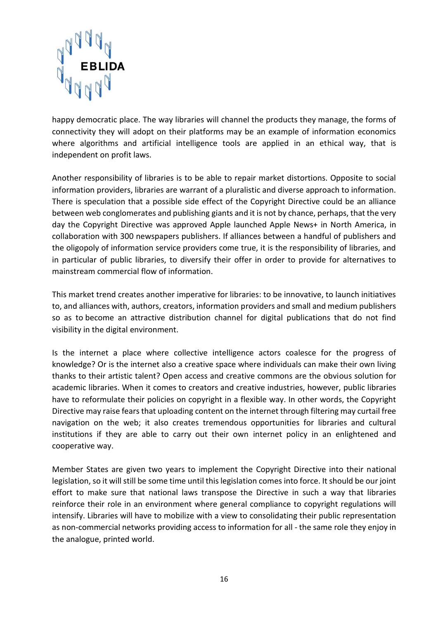

happy democratic place. The way libraries will channel the products they manage, the forms of connectivity they will adopt on their platforms may be an example of information economics where algorithms and artificial intelligence tools are applied in an ethical way, that is independent on profit laws.

Another responsibility of libraries is to be able to repair market distortions. Opposite to social information providers, libraries are warrant of a pluralistic and diverse approach to information. There is speculation that a possible side effect of the Copyright Directive could be an alliance between web conglomerates and publishing giants and it is not by chance, perhaps, that the very day the Copyright Directive was approved Apple launched Apple News+ in North America, in collaboration with 300 newspapers publishers. If alliances between a handful of publishers and the oligopoly of information service providers come true, it is the responsibility of libraries, and in particular of public libraries, to diversify their offer in order to provide for alternatives to mainstream commercial flow of information.

This market trend creates another imperative for libraries: to be innovative, to launch initiatives to, and alliances with, authors, creators, information providers and small and medium publishers so as to become an attractive distribution channel for digital publications that do not find visibility in the digital environment.

Is the internet a place where collective intelligence actors coalesce for the progress of knowledge? Or is the internet also a creative space where individuals can make their own living thanks to their artistic talent? Open access and creative commons are the obvious solution for academic libraries. When it comes to creators and creative industries, however, public libraries have to reformulate their policies on copyright in a flexible way. In other words, the Copyright Directive may raise fears that uploading content on the internet through filtering may curtail free navigation on the web; it also creates tremendous opportunities for libraries and cultural institutions if they are able to carry out their own internet policy in an enlightened and cooperative way.

Member States are given two years to implement the Copyright Directive into their national legislation, so it will still be some time until this legislation comes into force. It should be our joint effort to make sure that national laws transpose the Directive in such a way that libraries reinforce their role in an environment where general compliance to copyright regulations will intensify. Libraries will have to mobilize with a view to consolidating their public representation as non-commercial networks providing access to information for all - the same role they enjoy in the analogue, printed world.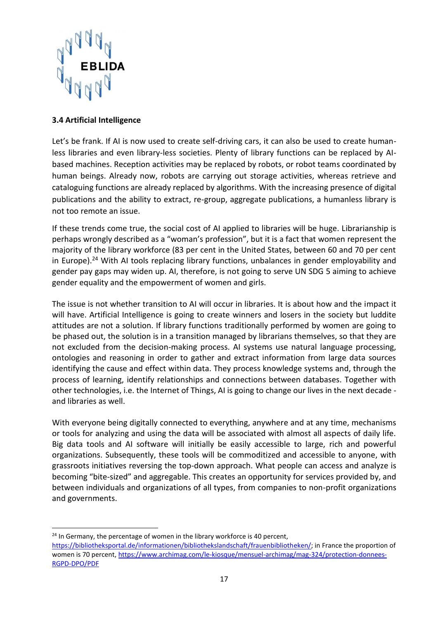

#### <span id="page-16-0"></span>**3.4 Artificial Intelligence**

Let's be frank. If AI is now used to create self-driving cars, it can also be used to create humanless libraries and even library-less societies. Plenty of library functions can be replaced by AIbased machines. Reception activities may be replaced by robots, or robot teams coordinated by human beings. Already now, robots are carrying out storage activities, whereas retrieve and cataloguing functions are already replaced by algorithms. With the increasing presence of digital publications and the ability to extract, re-group, aggregate publications, a humanless library is not too remote an issue.

If these trends come true, the social cost of AI applied to libraries will be huge. Librarianship is perhaps wrongly described as a "woman's profession", but it is a fact that women represent the majority of the library workforce (83 per cent in the United States, between 60 and 70 per cent in Europe).<sup>24</sup> With AI tools replacing library functions, unbalances in gender employability and gender pay gaps may widen up. AI, therefore, is not going to serve UN SDG 5 aiming to achieve gender equality and the empowerment of women and girls.

The issue is not whether transition to AI will occur in libraries. It is about how and the impact it will have. Artificial Intelligence is going to create winners and losers in the society but luddite attitudes are not a solution. If library functions traditionally performed by women are going to be phased out, the solution is in a transition managed by librarians themselves, so that they are not excluded from the decision-making process. AI systems use natural language processing, ontologies and reasoning in order to gather and extract information from large data sources identifying the cause and effect within data. They process knowledge systems and, through the process of learning, identify relationships and connections between databases. Together with other technologies, i.e. the Internet of Things, AI is going to change our lives in the next decade and libraries as well.

With everyone being digitally connected to everything, anywhere and at any time, mechanisms or tools for analyzing and using the data will be associated with almost all aspects of daily life. Big data tools and AI software will initially be easily accessible to large, rich and powerful organizations. Subsequently, these tools will be commoditized and accessible to anyone, with grassroots initiatives reversing the top-down approach. What people can access and analyze is becoming "bite-sized" and aggregable. This creates an opportunity for services provided by, and between individuals and organizations of all types, from companies to non-profit organizations and governments.

**<sup>.</sup>** <sup>24</sup> In Germany, the percentage of women in the library workforce is 40 percent,

[https://bibliotheksportal.de/informationen/bibliothekslandschaft/frauenbibliotheken/;](https://bibliotheksportal.de/informationen/bibliothekslandschaft/frauenbibliotheken/) in France the proportion of women is 70 percent, [https://www.archimag.com/le-kiosque/mensuel-archimag/mag-324/protection-donnees-](https://www.archimag.com/le-kiosque/mensuel-archimag/mag-324/protection-donnees-RGPD-DPO/PDF)[RGPD-DPO/PDF](https://www.archimag.com/le-kiosque/mensuel-archimag/mag-324/protection-donnees-RGPD-DPO/PDF)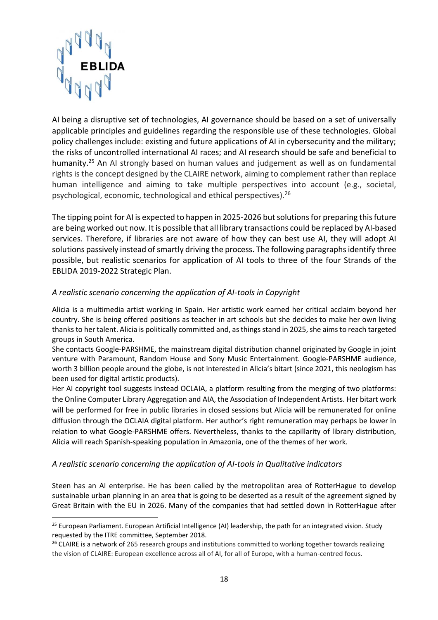

AI being a disruptive set of technologies, AI governance should be based on a set of universally applicable principles and guidelines regarding the responsible use of these technologies. Global policy challenges include: existing and future applications of AI in cybersecurity and the military; the risks of uncontrolled international AI races; and AI research should be safe and beneficial to humanity.<sup>25</sup> An AI strongly based on human values and judgement as well as on fundamental rights is the concept designed by the CLAIRE network, aiming to complement rather than replace human intelligence and aiming to take multiple perspectives into account (e.g., societal, psychological, economic, technological and ethical perspectives).<sup>26</sup>

The tipping point for AI is expected to happen in 2025-2026 but solutions for preparing this future are being worked out now. It is possible that all library transactions could be replaced by AI-based services. Therefore, if libraries are not aware of how they can best use AI, they will adopt AI solutions passively instead of smartly driving the process. The following paragraphs identify three possible, but realistic scenarios for application of AI tools to three of the four Strands of the EBLIDA 2019-2022 Strategic Plan.

#### *A realistic scenario concerning the application of AI-tools in Copyright*

Alicia is a multimedia artist working in Spain. Her artistic work earned her critical acclaim beyond her country. She is being offered positions as teacher in art schools but she decides to make her own living thanks to her talent. Alicia is politically committed and, as things stand in 2025, she aims to reach targeted groups in South America.

She contacts Google-PARSHME, the mainstream digital distribution channel originated by Google in joint venture with Paramount, Random House and Sony Music Entertainment. Google-PARSHME audience, worth 3 billion people around the globe, is not interested in Alicia's bitart (since 2021, this neologism has been used for digital artistic products).

Her AI copyright tool suggests instead OCLAIA, a platform resulting from the merging of two platforms: the Online Computer Library Aggregation and AIA, the Association of Independent Artists. Her bitart work will be performed for free in public libraries in closed sessions but Alicia will be remunerated for online diffusion through the OCLAIA digital platform. Her author's right remuneration may perhaps be lower in relation to what Google-PARSHME offers. Nevertheless, thanks to the capillarity of library distribution, Alicia will reach Spanish-speaking population in Amazonia, one of the themes of her work.

#### *A realistic scenario concerning the application of AI-tools in Qualitative indicators*

Steen has an AI enterprise. He has been called by the metropolitan area of RotterHague to develop sustainable urban planning in an area that is going to be deserted as a result of the agreement signed by Great Britain with the EU in 2026. Many of the companies that had settled down in RotterHague after

<sup>&</sup>lt;sup>25</sup> European Parliament. European Artificial Intelligence (AI) leadership, the path for an integrated vision. Study requested by the ITRE committee, September 2018.

<sup>&</sup>lt;sup>26</sup> CLAIRE is a network of 265 research groups and institutions committed to working together towards realizing the vision of CLAIRE: European excellence across all of AI, for all of Europe, with a human-centred focus.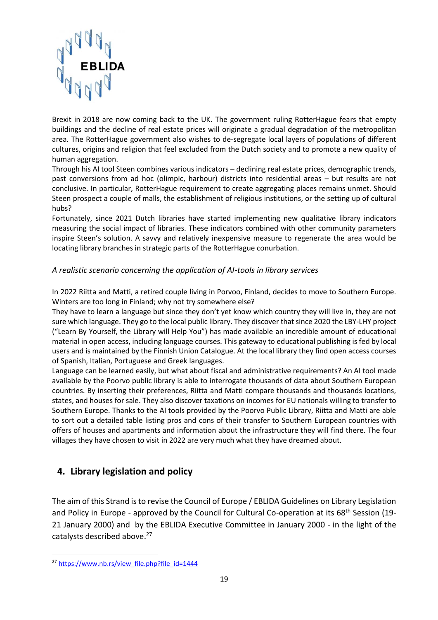

Brexit in 2018 are now coming back to the UK. The government ruling RotterHague fears that empty buildings and the decline of real estate prices will originate a gradual degradation of the metropolitan area. The RotterHague government also wishes to de-segregate local layers of populations of different cultures, origins and religion that feel excluded from the Dutch society and to promote a new quality of human aggregation.

Through his AI tool Steen combines various indicators – declining real estate prices, demographic trends, past conversions from ad hoc (olimpic, harbour) districts into residential areas – but results are not conclusive. In particular, RotterHague requirement to create aggregating places remains unmet. Should Steen prospect a couple of malls, the establishment of religious institutions, or the setting up of cultural hubs?

Fortunately, since 2021 Dutch libraries have started implementing new qualitative library indicators measuring the social impact of libraries. These indicators combined with other community parameters inspire Steen's solution. A savvy and relatively inexpensive measure to regenerate the area would be locating library branches in strategic parts of the RotterHague conurbation.

#### *A realistic scenario concerning the application of AI-tools in library services*

In 2022 Riitta and Matti, a retired couple living in Porvoo, Finland, decides to move to Southern Europe. Winters are too long in Finland; why not try somewhere else?

They have to learn a language but since they don't yet know which country they will live in, they are not sure which language. They go to the local public library. They discover that since 2020 the LBY-LHY project ("Learn By Yourself, the Library will Help You") has made available an incredible amount of educational material in open access, including language courses. This gateway to educational publishing is fed by local users and is maintained by the Finnish Union Catalogue. At the local library they find open access courses of Spanish, Italian, Portuguese and Greek languages.

Language can be learned easily, but what about fiscal and administrative requirements? An AI tool made available by the Poorvo public library is able to interrogate thousands of data about Southern European countries. By inserting their preferences, Riitta and Matti compare thousands and thousands locations, states, and houses for sale. They also discover taxations on incomes for EU nationals willing to transfer to Southern Europe. Thanks to the AI tools provided by the Poorvo Public Library, Riitta and Matti are able to sort out a detailed table listing pros and cons of their transfer to Southern European countries with offers of houses and apartments and information about the infrastructure they will find there. The four villages they have chosen to visit in 2022 are very much what they have dreamed about.

## <span id="page-18-0"></span>**4. Library legislation and policy**

The aim of this Strand is to revise the Council of Europe / EBLIDA Guidelines on Library Legislation and Policy in Europe - approved by the Council for Cultural Co-operation at its 68<sup>th</sup> Session (19-21 January 2000) and by the EBLIDA Executive Committee in January 2000 - in the light of the catalysts described above. 27

1

<sup>&</sup>lt;sup>27</sup> [https://www.nb.rs/view\\_file.php?file\\_id=1444](https://www.nb.rs/view_file.php?file_id=1444)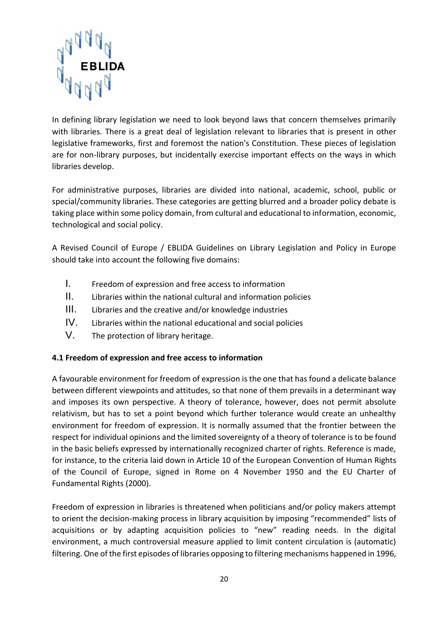

In defining library legislation we need to look beyond laws that concern themselves primarily with libraries. There is a great deal of legislation relevant to libraries that is present in other legislative frameworks, first and foremost the nation's Constitution. These pieces of legislation are for non-library purposes, but incidentally exercise important effects on the ways in which libraries develop.

For administrative purposes, libraries are divided into national, academic, school, public or special/community libraries. These categories are getting blurred and a broader policy debate is taking place within some policy domain, from cultural and educational to information, economic, technological and social policy.

A Revised Council of Europe / EBLIDA Guidelines on Library Legislation and Policy in Europe should take into account the following five domains:

- I. Freedom of expression and free access to information
- II. Libraries within the national cultural and information policies
- III. Libraries and the creative and/or knowledge industries
- IV. Libraries within the national educational and social policies
- V. The protection of library heritage.

#### <span id="page-19-0"></span>**4.1 Freedom of expression and free access to information**

A favourable environment for freedom of expression is the one that has found a delicate balance between different viewpoints and attitudes, so that none of them prevails in a determinant way and imposes its own perspective. A theory of tolerance, however, does not permit absolute relativism, but has to set a point beyond which further tolerance would create an unhealthy environment for freedom of expression. It is normally assumed that the frontier between the respect for individual opinions and the limited sovereignty of a theory of tolerance is to be found in the basic beliefs expressed by internationally recognized charter of rights. Reference is made, for instance, to the criteria laid down in Article 10 of the European Convention of Human Rights of the Council of Europe, signed in Rome on 4 November 1950 and the EU Charter of Fundamental Rights (2000).

Freedom of expression in libraries is threatened when politicians and/or policy makers attempt to orient the decision-making process in library acquisition by imposing "recommended" lists of acquisitions or by adapting acquisition policies to "new" reading needs. In the digital environment, a much controversial measure applied to limit content circulation is (automatic) filtering. One of the first episodes of libraries opposing to filtering mechanisms happened in 1996,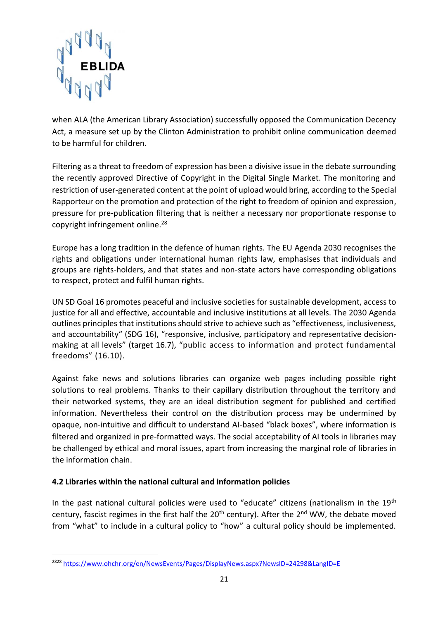

when ALA (the American Library Association) successfully opposed the Communication Decency Act, a measure set up by the Clinton Administration to prohibit online communication deemed to be harmful for children.

Filtering as a threat to freedom of expression has been a divisive issue in the debate surrounding the recently approved Directive of Copyright in the Digital Single Market. The monitoring and restriction of user-generated content at the point of upload would bring, according to th[e Special](https://www.ohchr.org/EN/Issues/FreedomOpinion/Pages/OpinionIndex.aspx)  [Rapporteur on the promotion and protection of the right to freedom of opinion and expression,](https://www.ohchr.org/EN/Issues/FreedomOpinion/Pages/OpinionIndex.aspx) pressure for pre-publication filtering that is neither a necessary nor proportionate response to copyright infringement online.<sup>28</sup>

Europe has a long tradition in the defence of human rights. The EU Agenda 2030 recognises the rights and obligations under international human rights law, emphasises that individuals and groups are rights-holders, and that states and non-state actors have corresponding obligations to respect, protect and fulfil human rights.

UN SD Goal 16 promotes peaceful and inclusive societies for sustainable development, access to justice for all and effective, accountable and inclusive institutions at all levels. The 2030 Agenda outlines principles that institutions should strive to achieve such as "effectiveness, inclusiveness, and accountability" (SDG 16), "responsive, inclusive, participatory and representative decisionmaking at all levels" (target 16.7), "public access to information and protect fundamental freedoms" (16.10).

Against fake news and solutions libraries can organize web pages including possible right solutions to real problems. Thanks to their capillary distribution throughout the territory and their networked systems, they are an ideal distribution segment for published and certified information. Nevertheless their control on the distribution process may be undermined by opaque, non-intuitive and difficult to understand AI-based "black boxes", where information is filtered and organized in pre-formatted ways. The social acceptability of AI tools in libraries may be challenged by ethical and moral issues, apart from increasing the marginal role of libraries in the information chain.

## <span id="page-20-0"></span>**4.2 Libraries within the national cultural and information policies**

1

In the past national cultural policies were used to "educate" citizens (nationalism in the 19<sup>th</sup> century, fascist regimes in the first half the  $20<sup>th</sup>$  century). After the  $2<sup>nd</sup>$  WW, the debate moved from "what" to include in a cultural policy to "how" a cultural policy should be implemented.

<sup>&</sup>lt;sup>2828</sup> <https://www.ohchr.org/en/NewsEvents/Pages/DisplayNews.aspx?NewsID=24298&LangID=E>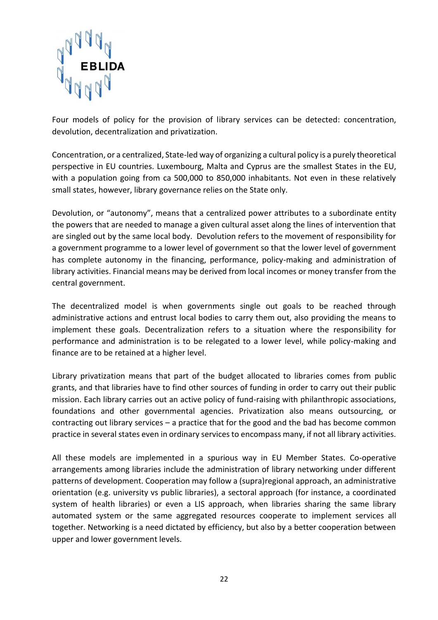

Four models of policy for the provision of library services can be detected: concentration, devolution, decentralization and privatization.

Concentration, or a centralized, State-led way of organizing a cultural policy is a purely theoretical perspective in EU countries. Luxembourg, Malta and Cyprus are the smallest States in the EU, with a population going from ca 500,000 to 850,000 inhabitants. Not even in these relatively small states, however, library governance relies on the State only.

Devolution, or "autonomy", means that a centralized power attributes to a subordinate entity the powers that are needed to manage a given cultural asset along the lines of intervention that are singled out by the same local body. Devolution refers to the movement of responsibility for a government programme to a lower level of government so that the lower level of government has complete autonomy in the financing, performance, policy-making and administration of library activities. Financial means may be derived from local incomes or money transfer from the central government.

The decentralized model is when governments single out goals to be reached through administrative actions and entrust local bodies to carry them out, also providing the means to implement these goals. Decentralization refers to a situation where the responsibility for performance and administration is to be relegated to a lower level, while policy-making and finance are to be retained at a higher level.

Library privatization means that part of the budget allocated to libraries comes from public grants, and that libraries have to find other sources of funding in order to carry out their public mission. Each library carries out an active policy of fund-raising with philanthropic associations, foundations and other governmental agencies. Privatization also means outsourcing, or contracting out library services – a practice that for the good and the bad has become common practice in several states even in ordinary services to encompass many, if not all library activities.

All these models are implemented in a spurious way in EU Member States. Co-operative arrangements among libraries include the administration of library networking under different patterns of development. Cooperation may follow a (supra)regional approach, an administrative orientation (e.g. university vs public libraries), a sectoral approach (for instance, a coordinated system of health libraries) or even a LIS approach, when libraries sharing the same library automated system or the same aggregated resources cooperate to implement services all together. Networking is a need dictated by efficiency, but also by a better cooperation between upper and lower government levels.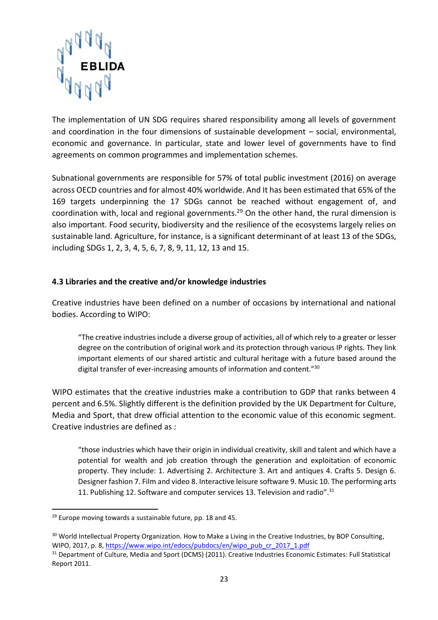

The implementation of UN SDG requires shared responsibility among all levels of government and coordination in the four dimensions of sustainable development – social, environmental, economic and governance. In particular, state and lower level of governments have to find agreements on common programmes and implementation schemes.

Subnational governments are responsible for 57% of total public investment (2016) on average across OECD countries and for almost 40% worldwide. And It has been estimated that 65% of the 169 targets underpinning the 17 SDGs cannot be reached without engagement of, and coordination with, local and regional governments.<sup>29</sup> On the other hand, the rural dimension is also important. Food security, biodiversity and the resilience of the ecosystems largely relies on sustainable land. Agriculture, for instance, is a significant determinant of at least 13 of the SDGs, including SDGs 1, 2, 3, 4, 5, 6, 7, 8, 9, 11, 12, 13 and 15.

#### <span id="page-22-0"></span>**4.3 Libraries and the creative and/or knowledge industries**

Creative industries have been defined on a number of occasions by international and national bodies. According to WIPO:

"The creative industries include a diverse group of activities, all of which rely to a greater or lesser degree on the contribution of original work and its protection through various IP rights. They link important elements of our shared artistic and cultural heritage with a future based around the digital transfer of ever-increasing amounts of information and content."<sup>30</sup>

WIPO estimates that the creative industries make a contribution to GDP that ranks between 4 percent and 6.5%. Slightly different is the definition provided by the UK Department for Culture, Media and Sport, that drew official attention to the economic value of this economic segment. Creative industries are defined as :

"those industries which have their origin in individual creativity, skill and talent and which have a potential for wealth and job creation through the generation and exploitation of economic property. They include: 1. Advertising 2. Architecture 3. Art and antiques 4. Crafts 5. Design 6. Designer fashion 7. Film and video 8. Interactive leisure software 9. Music 10. The performing arts 11. Publishing 12. Software and computer services 13. Television and radio".<sup>31</sup>

**<sup>.</sup>**  $29$  Europe moving towards a sustainable future, pp. 18 and 45.

<sup>&</sup>lt;sup>30</sup> World Intellectual Property Organization. How to Make a Living in the Creative Industries, by BOP Consulting, WIPO, 2017, p. 8[, https://www.wipo.int/edocs/pubdocs/en/wipo\\_pub\\_cr\\_2017\\_1.pdf](https://www.wipo.int/edocs/pubdocs/en/wipo_pub_cr_2017_1.pdf)

<sup>&</sup>lt;sup>31</sup> Department of Culture, Media and Sport (DCMS) (2011). Creative Industries Economic Estimates: Full Statistical Report 2011.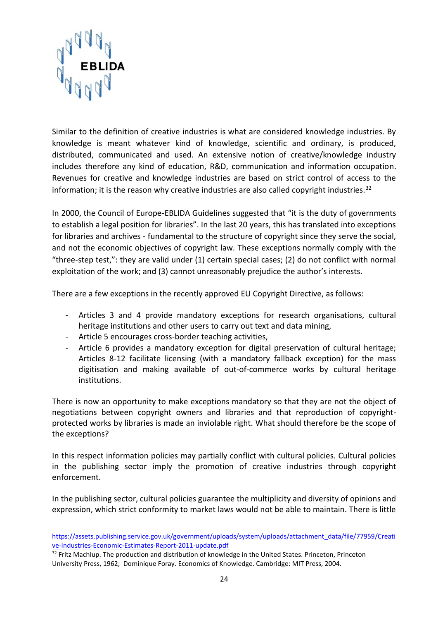

Similar to the definition of creative industries is what are considered knowledge industries. By knowledge is meant whatever kind of knowledge, scientific and ordinary, is produced, distributed, communicated and used. An extensive notion of creative/knowledge industry includes therefore any kind of education, R&D, communication and information occupation. Revenues for creative and knowledge industries are based on strict control of access to the information; it is the reason why creative industries are also called copyright industries.<sup>32</sup>

In 2000, the Council of Europe-EBLIDA Guidelines suggested that "it is the duty of governments to establish a legal position for libraries". In the last 20 years, this has translated into exceptions for libraries and archives - fundamental to the structure of copyright since they serve the social, and not the economic objectives of copyright law. These exceptions normally comply with the "three-step test,": they are valid under (1) certain special cases; (2) do not conflict with normal exploitation of the work; and (3) cannot unreasonably prejudice the author's interests.

There are a few exceptions in the recently approved EU Copyright Directive, as follows:

- Articles 3 and 4 provide mandatory exceptions for research organisations, cultural heritage institutions and other users to carry out text and data mining,
- Article 5 encourages cross-border teaching activities,
- Article 6 provides a mandatory exception for digital preservation of cultural heritage; Articles 8-12 facilitate licensing (with a mandatory fallback exception) for the mass digitisation and making available of out-of-commerce works by cultural heritage institutions.

There is now an opportunity to make exceptions mandatory so that they are not the object of negotiations between copyright owners and libraries and that reproduction of copyrightprotected works by libraries is made an inviolable right. What should therefore be the scope of the exceptions?

In this respect information policies may partially conflict with cultural policies. Cultural policies in the publishing sector imply the promotion of creative industries through copyright enforcement.

In the publishing sector, cultural policies guarantee the multiplicity and diversity of opinions and expression, which strict conformity to market laws would not be able to maintain. There is little

[https://assets.publishing.service.gov.uk/government/uploads/system/uploads/attachment\\_data/file/77959/Creati](https://assets.publishing.service.gov.uk/government/uploads/system/uploads/attachment_data/file/77959/Creative-Industries-Economic-Estimates-Report-2011-update.pdf) [ve-Industries-Economic-Estimates-Report-2011-update.pdf](https://assets.publishing.service.gov.uk/government/uploads/system/uploads/attachment_data/file/77959/Creative-Industries-Economic-Estimates-Report-2011-update.pdf)

<sup>&</sup>lt;sup>32</sup> Fritz Machlup. The production and distribution of knowledge in the United States. Princeton, Princeton University Press, 1962; Dominique Foray. Economics of Knowledge. Cambridge: MIT Press, 2004.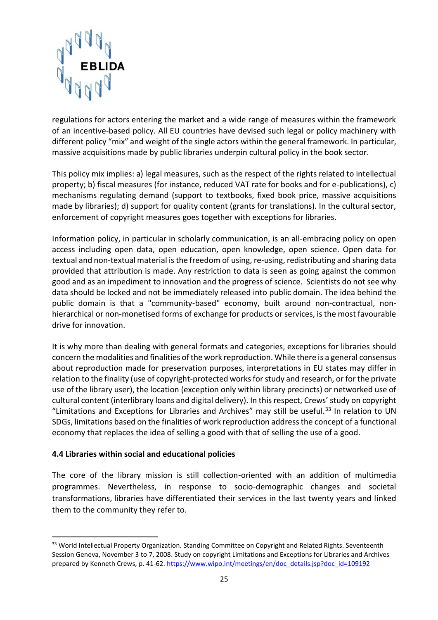

regulations for actors entering the market and a wide range of measures within the framework of an incentive-based policy. All EU countries have devised such legal or policy machinery with different policy "mix" and weight of the single actors within the general framework. In particular, massive acquisitions made by public libraries underpin cultural policy in the book sector.

This policy mix implies: a) legal measures, such as the respect of the rights related to intellectual property; b) fiscal measures (for instance, reduced VAT rate for books and for e-publications), c) mechanisms regulating demand (support to textbooks, fixed book price, massive acquisitions made by libraries); d) support for quality content (grants for translations). In the cultural sector, enforcement of copyright measures goes together with exceptions for libraries.

Information policy, in particular in scholarly communication, is an all-embracing policy on open access including open data, open education, open knowledge, open science. Open data for textual and non-textual material is the freedom of using, re-using, redistributing and sharing data provided that attribution is made. Any restriction to data is seen as going against the common good and as an impediment to innovation and the progress of science. Scientists do not see why data should be locked and not be immediately released into public domain. The idea behind the public domain is that a "community-based" economy, built around non-contractual, nonhierarchical or non-monetised forms of exchange for products or services, is the most favourable drive for innovation.

It is why more than dealing with general formats and categories, exceptions for libraries should concern the modalities and finalities of the work reproduction. While there is a general consensus about reproduction made for preservation purposes, interpretations in EU states may differ in relation to the finality (use of copyright-protected works for study and research, or for the private use of the library user), the location (exception only within library precincts) or networked use of cultural content (interlibrary loans and digital delivery). In this respect, Crews' study on copyright "Limitations and Exceptions for Libraries and Archives" may still be useful.<sup>33</sup> In relation to UN SDGs, limitations based on the finalities of work reproduction address the concept of a functional economy that replaces the idea of selling a good with that of selling the use of a good.

#### <span id="page-24-0"></span>**4.4 Libraries within social and educational policies**

**.** 

The core of the library mission is still collection-oriented with an addition of multimedia programmes. Nevertheless, in response to socio-demographic changes and societal transformations, libraries have differentiated their services in the last twenty years and linked them to the community they refer to.

<sup>&</sup>lt;sup>33</sup> World Intellectual Property Organization. Standing Committee on Copyright and Related Rights. Seventeenth Session Geneva, November 3 to 7, 2008. Study on copyright Limitations and Exceptions for Libraries and Archives prepared by Kenneth Crews, p. 41-62. [https://www.wipo.int/meetings/en/doc\\_details.jsp?doc\\_id=109192](https://www.wipo.int/meetings/en/doc_details.jsp?doc_id=109192)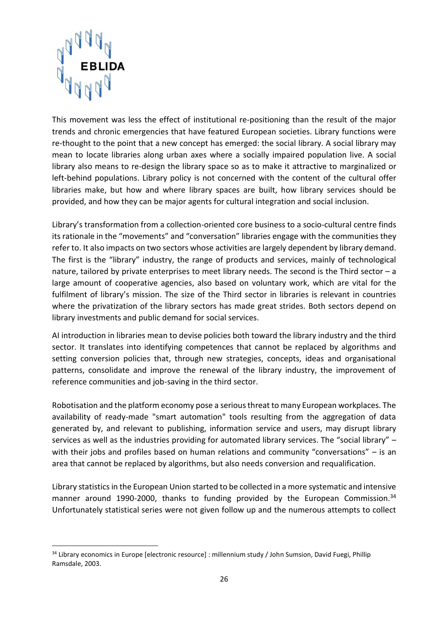

This movement was less the effect of institutional re-positioning than the result of the major trends and chronic emergencies that have featured European societies. Library functions were re-thought to the point that a new concept has emerged: the social library. A social library may mean to locate libraries along urban axes where a socially impaired population live. A social library also means to re-design the library space so as to make it attractive to marginalized or left-behind populations. Library policy is not concerned with the content of the cultural offer libraries make, but how and where library spaces are built, how library services should be provided, and how they can be major agents for cultural integration and social inclusion.

Library's transformation from a collection-oriented core business to a socio-cultural centre finds its rationale in the "movements" and "conversation" libraries engage with the communities they refer to. It also impacts on two sectors whose activities are largely dependent by library demand. The first is the "library" industry, the range of products and services, mainly of technological nature, tailored by private enterprises to meet library needs. The second is the Third sector  $-a$ large amount of cooperative agencies, also based on voluntary work, which are vital for the fulfilment of library's mission. The size of the Third sector in libraries is relevant in countries where the privatization of the library sectors has made great strides. Both sectors depend on library investments and public demand for social services.

AI introduction in libraries mean to devise policies both toward the library industry and the third sector. It translates into identifying competences that cannot be replaced by algorithms and setting conversion policies that, through new strategies, concepts, ideas and organisational patterns, consolidate and improve the renewal of the library industry, the improvement of reference communities and job-saving in the third sector.

Robotisation and the platform economy pose a serious threat to many European workplaces. The availability of ready-made "smart automation" tools resulting from the aggregation of data generated by, and relevant to publishing, information service and users, may disrupt library services as well as the industries providing for automated library services. The "social library" – with their jobs and profiles based on human relations and community "conversations" – is an area that cannot be replaced by algorithms, but also needs conversion and requalification.

Library statistics in the European Union started to be collected in a more systematic and intensive manner around 1990-2000, thanks to funding provided by the European Commission.<sup>34</sup> Unfortunately statistical series were not given follow up and the numerous attempts to collect

<sup>&</sup>lt;sup>34</sup> Library economics in Europe [electronic resource] : millennium study / John Sumsion, David Fuegi, Phillip Ramsdale, 2003.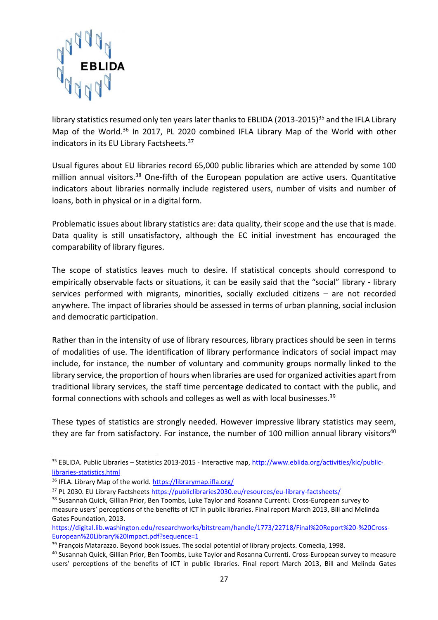

library statistics resumed only ten years later thanks to EBLIDA (2013-2015)<sup>35</sup> and the IFLA Library Map of the World.<sup>36</sup> In 2017, PL 2020 combined IFLA Library Map of the World with other indicators in its EU Library Factsheets.<sup>37</sup>

Usual figures about EU libraries record 65,000 public libraries which are attended by some 100 million annual visitors.<sup>38</sup> One-fifth of the European population are active users. Quantitative indicators about libraries normally include registered users, number of visits and number of loans, both in physical or in a digital form.

Problematic issues about library statistics are: data quality, their scope and the use that is made. Data quality is still unsatisfactory, although the EC initial investment has encouraged the comparability of library figures.

The scope of statistics leaves much to desire. If statistical concepts should correspond to empirically observable facts or situations, it can be easily said that the "social" library - library services performed with migrants, minorities, socially excluded citizens – are not recorded anywhere. The impact of libraries should be assessed in terms of urban planning, social inclusion and democratic participation.

Rather than in the intensity of use of library resources, library practices should be seen in terms of modalities of use. The identification of library performance indicators of social impact may include, for instance, the number of voluntary and community groups normally linked to the library service, the proportion of hours when libraries are used for organized activities apart from traditional library services, the staff time percentage dedicated to contact with the public, and formal connections with schools and colleges as well as with local businesses.<sup>39</sup>

These types of statistics are strongly needed. However impressive library statistics may seem, they are far from satisfactory. For instance, the number of 100 million annual library visitors<sup>40</sup>

<sup>1</sup> <sup>35</sup> EBLIDA. Public Libraries – Statistics 2013-2015 - Interactive map[, http://www.eblida.org/activities/kic/public](http://www.eblida.org/activities/kic/public-libraries-statistics.html)[libraries-statistics.html](http://www.eblida.org/activities/kic/public-libraries-statistics.html)

<sup>36</sup> IFLA. Library Map of the world.<https://librarymap.ifla.org/>

<sup>37</sup> PL 2030. EU Library Factsheets <https://publiclibraries2030.eu/resources/eu-library-factsheets/>

<sup>&</sup>lt;sup>38</sup> Susannah Quick, Gillian Prior, Ben Toombs, Luke Taylor and Rosanna Currenti. Cross-European survey to measure users' perceptions of the benefits of ICT in public libraries. Final report March 2013, Bill and Melinda Gates Foundation, 2013.

[https://digital.lib.washington.edu/researchworks/bitstream/handle/1773/22718/Final%20Report%20-%20Cross-](https://digital.lib.washington.edu/researchworks/bitstream/handle/1773/22718/Final%20Report%20-%20Cross-European%20Library%20Impact.pdf?sequence=1)[European%20Library%20Impact.pdf?sequence=1](https://digital.lib.washington.edu/researchworks/bitstream/handle/1773/22718/Final%20Report%20-%20Cross-European%20Library%20Impact.pdf?sequence=1)

<sup>&</sup>lt;sup>39</sup> Francois Matarazzo. Beyond book issues. The social potential of library projects. Comedia, 1998.

<sup>40</sup> Susannah Quick, Gillian Prior, Ben Toombs, Luke Taylor and Rosanna Currenti. Cross-European survey to measure users' perceptions of the benefits of ICT in public libraries. Final report March 2013, Bill and Melinda Gates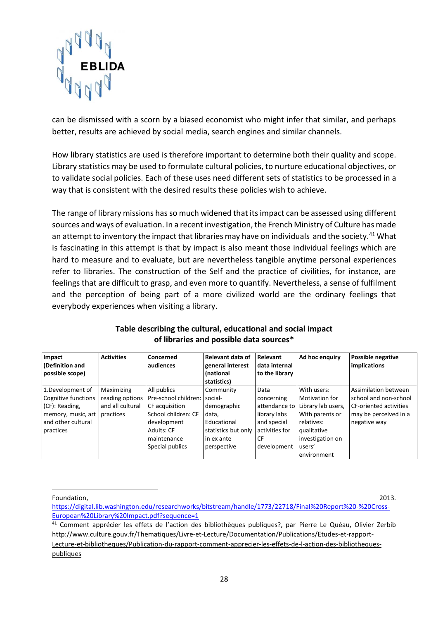

can be dismissed with a scorn by a biased economist who might infer that similar, and perhaps better, results are achieved by social media, search engines and similar channels.

How library statistics are used is therefore important to determine both their quality and scope. Library statistics may be used to formulate cultural policies, to nurture educational objectives, or to validate social policies. Each of these uses need different sets of statistics to be processed in a way that is consistent with the desired results these policies wish to achieve.

The range of library missions has so much widened that its impact can be assessed using different sources and ways of evaluation. In a recent investigation, the French Ministry of Culture has made an attempt to inventory the impact that libraries may have on individuals and the society.<sup>41</sup> What is fascinating in this attempt is that by impact is also meant those individual feelings which are hard to measure and to evaluate, but are nevertheless tangible anytime personal experiences refer to libraries. The construction of the Self and the practice of civilities, for instance, are feelings that are difficult to grasp, and even more to quantify. Nevertheless, a sense of fulfilment and the perception of being part of a more civilized world are the ordinary feelings that everybody experiences when visiting a library.

| Impact<br>(Definition and | <b>Activities</b> | Concerned<br>audiences | Relevant data of<br>general interest | <b>Relevant</b><br>data internal | Ad hoc enquiry        | <b>Possible negative</b><br>implications |
|---------------------------|-------------------|------------------------|--------------------------------------|----------------------------------|-----------------------|------------------------------------------|
| possible scope)           |                   |                        | <i>(national</i><br>statistics)      | to the library                   |                       |                                          |
|                           |                   |                        |                                      |                                  |                       |                                          |
| 1.Development of          | Maximizing        | All publics            | Community                            | Data                             | With users:           | Assimilation between                     |
| Cognitive functions       | reading options   | Pre-school children:   | social-                              | concerning                       | <b>Motivation for</b> | school and non-school                    |
| (CF): Reading,            | and all cultural  | CF acquisition         | demographic                          | attendance to                    | Library lab users,    | <b>CF-oriented activities</b>            |
| memory, music, art        | practices         | School children: CF    | data,                                | library labs                     | With parents or       | may be perceived in a                    |
| and other cultural        |                   | development            | Educational                          | and special                      | relatives:            | negative way                             |
| practices                 |                   | Adults: CF             | statistics but only                  | activities for                   | qualitative           |                                          |
|                           |                   | maintenance            | in ex ante                           | CF                               | investigation on      |                                          |
|                           |                   | Special publics        | perspective                          | development                      | users'                |                                          |
|                           |                   |                        |                                      |                                  | environment           |                                          |

#### **Table describing the cultural, educational and social impact of libraries and possible data sources\***

Foundation, 2013.

**.** 

[https://digital.lib.washington.edu/researchworks/bitstream/handle/1773/22718/Final%20Report%20-%20Cross-](https://digital.lib.washington.edu/researchworks/bitstream/handle/1773/22718/Final%20Report%20-%20Cross-European%20Library%20Impact.pdf?sequence=1)[European%20Library%20Impact.pdf?sequence=1](https://digital.lib.washington.edu/researchworks/bitstream/handle/1773/22718/Final%20Report%20-%20Cross-European%20Library%20Impact.pdf?sequence=1)

<sup>&</sup>lt;sup>41</sup> Comment apprécier les effets de l'action des bibliothèques publiques?, par Pierre Le Quéau, Olivier Zerbib [http://www.culture.gouv.fr/Thematiques/Livre-et-Lecture/Documentation/Publications/Etudes-et-rapport-](http://www.culture.gouv.fr/Thematiques/Livre-et-Lecture/Documentation/Publications/Etudes-et-rapport-Lecture-et-bibliotheques/Publication-du-rapport-comment-apprecier-les-effets-de-l-action-des-bibliotheques-publiques)[Lecture-et-bibliotheques/Publication-du-rapport-comment-apprecier-les-effets-de-l-action-des-bibliotheques](http://www.culture.gouv.fr/Thematiques/Livre-et-Lecture/Documentation/Publications/Etudes-et-rapport-Lecture-et-bibliotheques/Publication-du-rapport-comment-apprecier-les-effets-de-l-action-des-bibliotheques-publiques)[publiques](http://www.culture.gouv.fr/Thematiques/Livre-et-Lecture/Documentation/Publications/Etudes-et-rapport-Lecture-et-bibliotheques/Publication-du-rapport-comment-apprecier-les-effets-de-l-action-des-bibliotheques-publiques)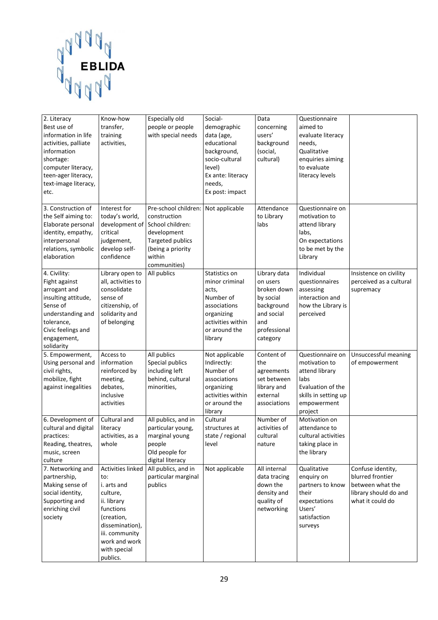

| 2. Literacy<br>Best use of<br>information in life<br>activities, palliate<br>information<br>shortage:<br>computer literacy,<br>teen-ager literacy,<br>text-image literacy,<br>etc. | Know-how<br>transfer,<br>training<br>activities,                                                                                                                                | Especially old<br>people or people<br>with special needs                                                                                                  | Social-<br>demographic<br>data (age,<br>educational<br>background,<br>socio-cultural<br>level)<br>Ex ante: literacy<br>needs,<br>Ex post: impact | Data<br>concerning<br>users'<br>background<br>(social,<br>cultural)                                                 | Questionnaire<br>aimed to<br>evaluate literacy<br>needs,<br>Qualitative<br>enquiries aiming<br>to evaluate<br>literacy levels      |                                                                                                        |
|------------------------------------------------------------------------------------------------------------------------------------------------------------------------------------|---------------------------------------------------------------------------------------------------------------------------------------------------------------------------------|-----------------------------------------------------------------------------------------------------------------------------------------------------------|--------------------------------------------------------------------------------------------------------------------------------------------------|---------------------------------------------------------------------------------------------------------------------|------------------------------------------------------------------------------------------------------------------------------------|--------------------------------------------------------------------------------------------------------|
| 3. Construction of<br>the Self aiming to:<br>Elaborate personal<br>identity, empathy,<br>interpersonal<br>relations, symbolic<br>elaboration                                       | Interest for<br>today's world,<br>critical<br>judgement,<br>develop self-<br>confidence                                                                                         | Pre-school children:<br>construction<br>development of School children:<br>development<br>Targeted publics<br>(being a priority<br>within<br>communities) | Not applicable                                                                                                                                   | Attendance<br>to Library<br>labs                                                                                    | Questionnaire on<br>motivation to<br>attend library<br>labs,<br>On expectations<br>to be met by the<br>Library                     |                                                                                                        |
| 4. Civility:<br>Fight against<br>arrogant and<br>insulting attitude,<br>Sense of<br>understanding and<br>tolerance,<br>Civic feelings and<br>engagement,<br>solidarity             | Library open to<br>all, activities to<br>consolidate<br>sense of<br>citizenship, of<br>solidarity and<br>of belonging                                                           | All publics                                                                                                                                               | Statistics on<br>minor criminal<br>acts,<br>Number of<br>associations<br>organizing<br>activities within<br>or around the<br>library             | Library data<br>on users<br>broken down<br>by social<br>background<br>and social<br>and<br>professional<br>category | Individual<br>questionnaires<br>assessing<br>interaction and<br>how the Library is<br>perceived                                    | Insistence on civility<br>perceived as a cultural<br>supremacy                                         |
| 5. Empowerment,<br>Using personal and<br>civil rights,<br>mobilize, fight<br>against inegalities                                                                                   | Access to<br>information<br>reinforced by<br>meeting,<br>debates,<br>inclusive<br>activities                                                                                    | All publics<br>Special publics<br>including left<br>behind, cultural<br>minorities,                                                                       | Not applicable<br>Indirectly:<br>Number of<br>associations<br>organizing<br>activities within<br>or around the<br>library                        | Content of<br>the<br>agreements<br>set between<br>library and<br>external<br>associations                           | Questionnaire on<br>motivation to<br>attend library<br>labs<br>Evaluation of the<br>skills in setting up<br>empowerment<br>project | Unsuccessful meaning<br>of empowerment                                                                 |
| 6. Development of<br>cultural and digital<br>practices:<br>Reading, theatres,<br>music, screen<br>culture                                                                          | Cultural and<br>literacy<br>activities, as a<br>whole                                                                                                                           | All publics, and in<br>particular young,<br>marginal young<br>people<br>Old people for<br>digital literacy                                                | Cultural<br>structures at<br>state / regional<br>level                                                                                           | Number of<br>activities of<br>cultural<br>nature                                                                    | Motivation on<br>attendance to<br>cultural activities<br>taking place in<br>the library                                            |                                                                                                        |
| 7. Networking and<br>partnership,<br>Making sense of<br>social identity,<br>Supporting and<br>enriching civil<br>society                                                           | Activities linked<br>to:<br>i. arts and<br>culture,<br>ii. library<br>functions<br>(creation,<br>dissemination),<br>iii. community<br>work and work<br>with special<br>publics. | All publics, and in<br>particular marginal<br>publics                                                                                                     | Not applicable                                                                                                                                   | All internal<br>data tracing<br>down the<br>density and<br>quality of<br>networking                                 | Qualitative<br>enquiry on<br>partners to know<br>their<br>expectations<br>Users'<br>satisfaction<br>surveys                        | Confuse identity,<br>blurred frontier<br>between what the<br>library should do and<br>what it could do |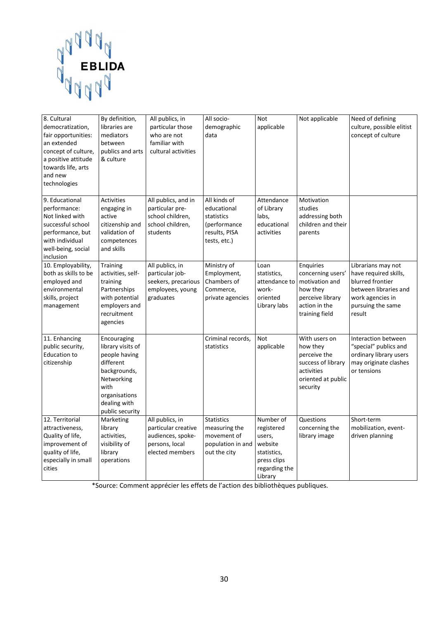

| 8. Cultural<br>democratization,<br>fair opportunities:<br>an extended<br>concept of culture,<br>a positive attitude<br>towards life, arts<br>and new<br>technologies | By definition,<br>libraries are<br>mediators<br>between<br>publics and arts<br>& culture                                                                 | All publics, in<br>particular those<br>who are not<br>familiar with<br>cultural activities       | All socio-<br>demographic<br>data                                                          | <b>Not</b><br>applicable                                                                               | Not applicable                                                                                                      | Need of defining<br>culture, possible elitist<br>concept of culture                                                                         |
|----------------------------------------------------------------------------------------------------------------------------------------------------------------------|----------------------------------------------------------------------------------------------------------------------------------------------------------|--------------------------------------------------------------------------------------------------|--------------------------------------------------------------------------------------------|--------------------------------------------------------------------------------------------------------|---------------------------------------------------------------------------------------------------------------------|---------------------------------------------------------------------------------------------------------------------------------------------|
| 9. Educational<br>performance:<br>Not linked with<br>successful school<br>performance, but<br>with individual<br>well-being, social<br>inclusion                     | <b>Activities</b><br>engaging in<br>active<br>citizenship and<br>validation of<br>competences<br>and skills                                              | All publics, and in<br>particular pre-<br>school children,<br>school children,<br>students       | All kinds of<br>educational<br>statistics<br>(performance<br>results, PISA<br>tests, etc.) | Attendance<br>of Library<br>labs,<br>educational<br>activities                                         | Motivation<br>studies<br>addressing both<br>children and their<br>parents                                           |                                                                                                                                             |
| 10. Employability,<br>both as skills to be<br>employed and<br>environmental<br>skills, project<br>management                                                         | <b>Training</b><br>activities, self-<br>training<br>Partnerships<br>with potential<br>employers and<br>recruitment<br>agencies                           | All publics, in<br>particular job-<br>seekers, precarious<br>employees, young<br>graduates       | Ministry of<br>Employment,<br>Chambers of<br>Commerce,<br>private agencies                 | Loan<br>statistics,<br>attendance to<br>work-<br>oriented<br>Library labs                              | Enquiries<br>concerning users'<br>motivation and<br>how they<br>perceive library<br>action in the<br>training field | Librarians may not<br>have required skills,<br>blurred frontier<br>between libraries and<br>work agencies in<br>pursuing the same<br>result |
| 11. Enhancing<br>public security,<br><b>Education to</b><br>citizenship                                                                                              | Encouraging<br>library visits of<br>people having<br>different<br>backgrounds,<br>Networking<br>with<br>organisations<br>dealing with<br>public security |                                                                                                  | Criminal records,<br>statistics                                                            | <b>Not</b><br>applicable                                                                               | With users on<br>how they<br>perceive the<br>success of library<br>activities<br>oriented at public<br>security     | Interaction between<br>"special" publics and<br>ordinary library users<br>may originate clashes<br>or tensions                              |
| 12. Territorial<br>attractiveness,<br>Quality of life,<br>improvement of<br>quality of life,<br>especially in small<br>cities                                        | Marketing<br>library<br>activities,<br>visibility of<br>library<br>operations                                                                            | All publics, in<br>particular creative<br>audiences, spoke-<br>persons, local<br>elected members | <b>Statistics</b><br>measuring the<br>movement of<br>population in and<br>out the city     | Number of<br>registered<br>users,<br>website<br>statistics,<br>press clips<br>regarding the<br>Library | Questions<br>concerning the<br>library image                                                                        | Short-term<br>mobilization, event-<br>driven planning                                                                                       |

\*Source: Comment apprécier les effets de l'action des bibliothèques publiques.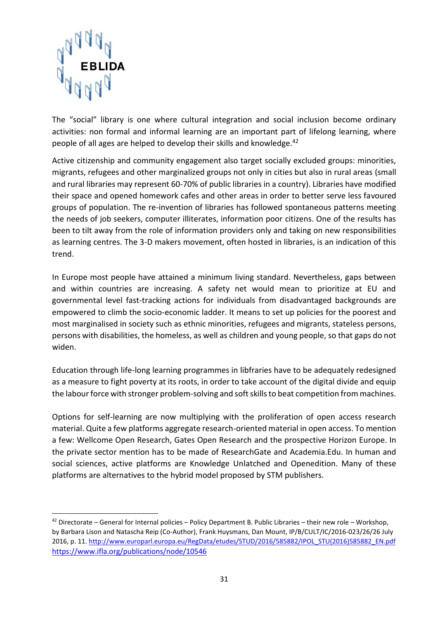

The "social" library is one where cultural integration and social inclusion become ordinary activities: non formal and informal learning are an important part of lifelong learning, where people of all ages are helped to develop their skills and knowledge.<sup>42</sup>

Active citizenship and community engagement also target socially excluded groups: minorities, migrants, refugees and other marginalized groups not only in cities but also in rural areas (small and rural libraries may represent 60-70% of public libraries in a country). Libraries have modified their space and opened homework cafes and other areas in order to better serve less favoured groups of population. The re-invention of libraries has followed spontaneous patterns meeting the needs of job seekers, computer illiterates, information poor citizens. One of the results has been to tilt away from the role of information providers only and taking on new responsibilities as learning centres. The 3-D makers movement, often hosted in libraries, is an indication of this trend.

In Europe most people have attained a minimum living standard. Nevertheless, gaps between and within countries are increasing. A safety net would mean to prioritize at EU and governmental level fast-tracking actions for individuals from disadvantaged backgrounds are empowered to climb the socio-economic ladder. It means to set up policies for the poorest and most marginalised in society such as ethnic minorities, refugees and migrants, stateless persons, persons with disabilities, the homeless, as well as children and young people, so that gaps do not widen.

Education through life-long learning programmes in libfraries have to be adequately redesigned as a measure to fight poverty at its roots, in order to take account of the digital divide and equip the labour force with stronger problem-solving and soft skills to beat competition from machines.

Options for self-learning are now multiplying with the proliferation of open access research material. Quite a few platforms aggregate research-oriented material in open access. To mention a few: Wellcome Open Research, Gates Open Research and the prospective Horizon Europe. In the private sector mention has to be made of ResearchGate and Academia.Edu. In human and social sciences, active platforms are Knowledge Unlatched and Openedition. Many of these platforms are alternatives to the hybrid model proposed by STM publishers.

 $42$  Directorate – General for Internal policies – Policy Department B. Public Libraries – their new role – Workshop, by Barbara Lison and Natascha Reip (Co-Author), Frank Huysmans, Dan Mount, IP/B/CULT/IC/2016-023/26/26 July 2016, p. 11. [http://www.europarl.europa.eu/RegData/etudes/STUD/2016/585882/IPOL\\_STU\(2016\)585882\\_EN.pdf](http://www.europarl.europa.eu/RegData/etudes/STUD/2016/585882/IPOL_STU(2016)585882_EN.pdf) <https://www.ifla.org/publications/node/10546>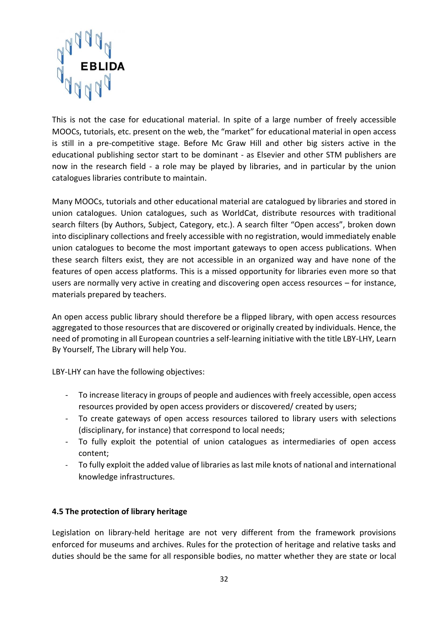

This is not the case for educational material. In spite of a large number of freely accessible MOOCs, tutorials, etc. present on the web, the "market" for educational material in open access is still in a pre-competitive stage. Before Mc Graw Hill and other big sisters active in the educational publishing sector start to be dominant - as Elsevier and other STM publishers are now in the research field - a role may be played by libraries, and in particular by the union catalogues libraries contribute to maintain.

Many MOOCs, tutorials and other educational material are catalogued by libraries and stored in union catalogues. Union catalogues, such as WorldCat, distribute resources with traditional search filters (by Authors, Subject, Category, etc.). A search filter "Open access", broken down into disciplinary collections and freely accessible with no registration, would immediately enable union catalogues to become the most important gateways to open access publications. When these search filters exist, they are not accessible in an organized way and have none of the features of open access platforms. This is a missed opportunity for libraries even more so that users are normally very active in creating and discovering open access resources – for instance, materials prepared by teachers.

An open access public library should therefore be a flipped library, with open access resources aggregated to those resources that are discovered or originally created by individuals. Hence, the need of promoting in all European countries a self-learning initiative with the title LBY-LHY, Learn By Yourself, The Library will help You.

LBY-LHY can have the following objectives:

- To increase literacy in groups of people and audiences with freely accessible, open access resources provided by open access providers or discovered/ created by users;
- To create gateways of open access resources tailored to library users with selections (disciplinary, for instance) that correspond to local needs;
- To fully exploit the potential of union catalogues as intermediaries of open access content;
- To fully exploit the added value of libraries as last mile knots of national and international knowledge infrastructures.

#### <span id="page-31-0"></span>**4.5 The protection of library heritage**

Legislation on library-held heritage are not very different from the framework provisions enforced for museums and archives. Rules for the protection of heritage and relative tasks and duties should be the same for all responsible bodies, no matter whether they are state or local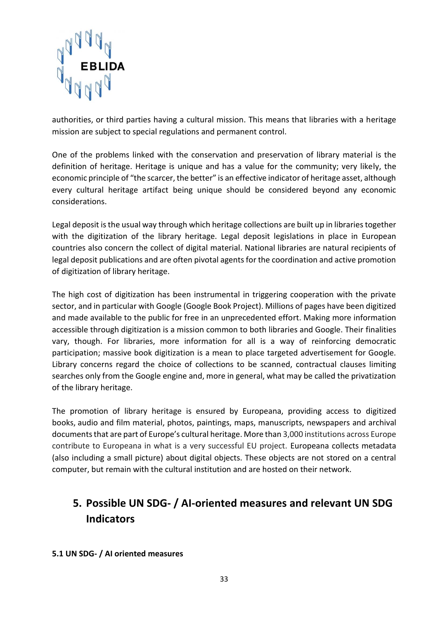

authorities, or third parties having a cultural mission. This means that libraries with a heritage mission are subject to special regulations and permanent control.

One of the problems linked with the conservation and preservation of library material is the definition of heritage. Heritage is unique and has a value for the community; very likely, the economic principle of "the scarcer, the better" is an effective indicator of heritage asset, although every cultural heritage artifact being unique should be considered beyond any economic considerations.

Legal deposit is the usual way through which heritage collections are built up in libraries together with the digitization of the library heritage. Legal deposit legislations in place in European countries also concern the collect of digital material. National libraries are natural recipients of legal deposit publications and are often pivotal agents for the coordination and active promotion of digitization of library heritage.

The high cost of digitization has been instrumental in triggering cooperation with the private sector, and in particular with Google (Google Book Project). Millions of pages have been digitized and made available to the public for free in an unprecedented effort. Making more information accessible through digitization is a mission common to both libraries and Google. Their finalities vary, though. For libraries, more information for all is a way of reinforcing democratic participation; massive book digitization is a mean to place targeted advertisement for Google. Library concerns regard the choice of collections to be scanned, contractual clauses limiting searches only from the Google engine and, more in general, what may be called the privatization of the library heritage.

The promotion of library heritage is ensured by Europeana, providing access to digitized books, audio and film material, photos, paintings, maps, manuscripts, newspapers and archival documentsthat are part of Europe's cultural heritage. More than 3,000 institutions across Europe contribute to Europeana in what is a very successful EU project. Europeana collects metadata (also including a small picture) about digital objects. These objects are not stored on a central computer, but remain with the cultural institution and are hosted on their network.

# <span id="page-32-0"></span>**5. Possible UN SDG- / AI-oriented measures and relevant UN SDG Indicators**

<span id="page-32-1"></span>**5.1 UN SDG- / AI oriented measures**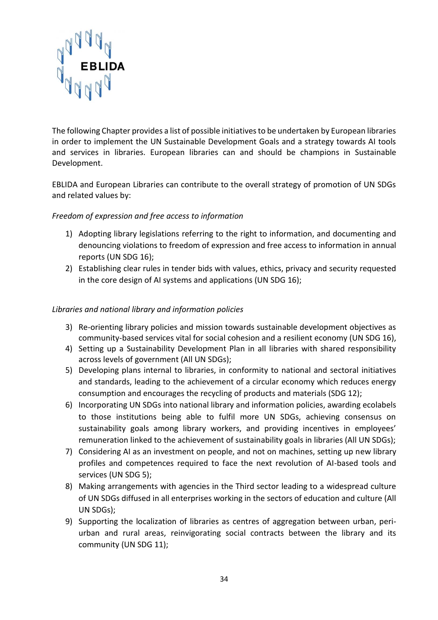

The following Chapter provides a list of possible initiatives to be undertaken by European libraries in order to implement the UN Sustainable Development Goals and a strategy towards AI tools and services in libraries. European libraries can and should be champions in Sustainable Development.

EBLIDA and European Libraries can contribute to the overall strategy of promotion of UN SDGs and related values by:

#### *Freedom of expression and free access to information*

- 1) Adopting library legislations referring to the right to information, and documenting and denouncing violations to freedom of expression and free access to information in annual reports (UN SDG 16);
- 2) Establishing clear rules in tender bids with values, ethics, privacy and security requested in the core design of AI systems and applications (UN SDG 16);

#### *Libraries and national library and information policies*

- 3) Re-orienting library policies and mission towards sustainable development objectives as community-based services vital for social cohesion and a resilient economy (UN SDG 16),
- 4) Setting up a Sustainability Development Plan in all libraries with shared responsibility across levels of government (All UN SDGs);
- 5) Developing plans internal to libraries, in conformity to national and sectoral initiatives and standards, leading to the achievement of a circular economy which reduces energy consumption and encourages the recycling of products and materials (SDG 12);
- 6) Incorporating UN SDGs into national library and information policies, awarding ecolabels to those institutions being able to fulfil more UN SDGs, achieving consensus on sustainability goals among library workers, and providing incentives in employees' remuneration linked to the achievement of sustainability goals in libraries (All UN SDGs);
- 7) Considering AI as an investment on people, and not on machines, setting up new library profiles and competences required to face the next revolution of AI-based tools and services (UN SDG 5);
- 8) Making arrangements with agencies in the Third sector leading to a widespread culture of UN SDGs diffused in all enterprises working in the sectors of education and culture (All UN SDGs);
- 9) Supporting the localization of libraries as centres of aggregation between urban, periurban and rural areas, reinvigorating social contracts between the library and its community (UN SDG 11);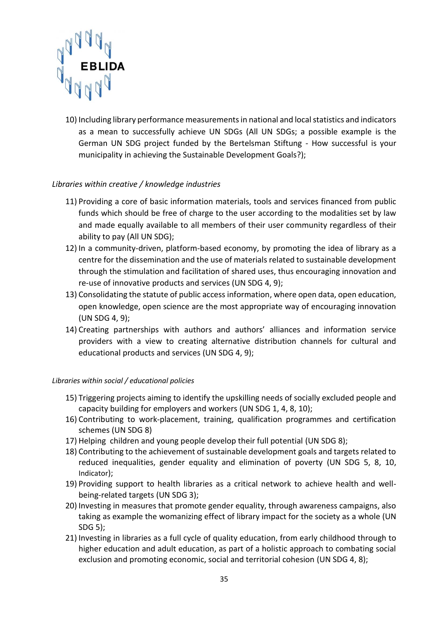

10) Including library performance measurements in national and local statistics and indicators as a mean to successfully achieve UN SDGs (All UN SDGs; a possible example is the German UN SDG project funded by the Bertelsman Stiftung - How successful is your municipality in achieving the Sustainable Development Goals?);

#### *Libraries within creative / knowledge industries*

- 11) Providing a core of basic information materials, tools and services financed from public funds which should be free of charge to the user according to the modalities set by law and made equally available to all members of their user community regardless of their ability to pay (All UN SDG);
- 12) In a community-driven, platform-based economy, by promoting the idea of library as a centre for the dissemination and the use of materials related to sustainable development through the stimulation and facilitation of shared uses, thus encouraging innovation and re-use of innovative products and services (UN SDG 4, 9);
- 13) Consolidating the statute of public access information, where open data, open education, open knowledge, open science are the most appropriate way of encouraging innovation (UN SDG 4, 9);
- 14) Creating partnerships with authors and authors' alliances and information service providers with a view to creating alternative distribution channels for cultural and educational products and services (UN SDG 4, 9);

#### *Libraries within social / educational policies*

- 15) Triggering projects aiming to identify the upskilling needs of socially excluded people and capacity building for employers and workers (UN SDG 1, 4, 8, 10);
- 16) Contributing to work-placement, training, qualification programmes and certification schemes (UN SDG 8)
- 17) Helping children and young people develop their full potential (UN SDG 8);
- 18) Contributing to the achievement of sustainable development goals and targets related to reduced inequalities, gender equality and elimination of poverty (UN SDG 5, 8, 10, Indicator);
- 19) Providing support to health libraries as a critical network to achieve health and wellbeing-related targets (UN SDG 3);
- 20) Investing in measures that promote gender equality, through awareness campaigns, also taking as example the womanizing effect of library impact for the society as a whole (UN SDG 5);
- 21) Investing in libraries as a full cycle of quality education, from early childhood through to higher education and adult education, as part of a holistic approach to combating social exclusion and promoting economic, social and territorial cohesion (UN SDG 4, 8);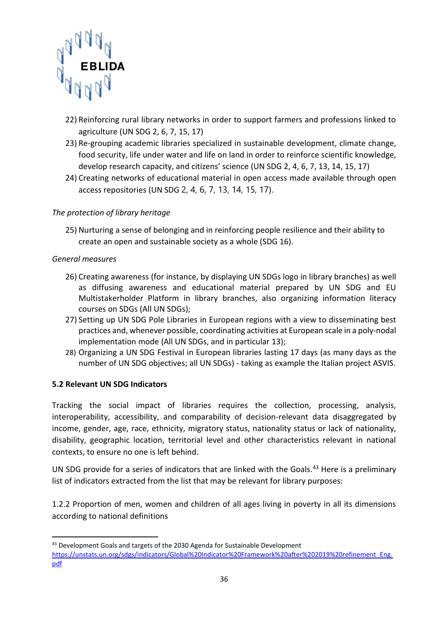

- 22) Reinforcing rural library networks in order to support farmers and professions linked to agriculture (UN SDG 2, 6, 7, 15, 17)
- 23) Re-grouping academic libraries specialized in sustainable development, climate change, food security, life under water and life on land in order to reinforce scientific knowledge, develop research capacity, and citizens' science (UN SDG 2, 4, 6, 7, 13, 14, 15, 17)
- 24) Creating networks of educational material in open access made available through open access repositories (UN SDG 2, 4, 6, 7, 13, 14, 15, 17).

#### *The protection of library heritage*

25) Nurturing a sense of belonging and in reinforcing people resilience and their ability to create an open and sustainable society as a whole (SDG 16).

#### *General measures*

**.** 

- 26) Creating awareness (for instance, by displaying UN SDGs logo in library branches) as well as diffusing awareness and educational material prepared by UN SDG and EU Multistakerholder Platform in library branches, also organizing information literacy courses on SDGs (All UN SDGs);
- 27) Setting up UN SDG Pole Libraries in European regions with a view to disseminating best practices and, whenever possible, coordinating activities at European scale in a poly-nodal implementation mode (All UN SDGs, and in particular 13);
- 28) Organizing a UN SDG Festival in European libraries lasting 17 days (as many days as the number of UN SDG objectives; all UN SDGs) - taking as example the Italian project ASVIS.

#### <span id="page-35-0"></span>**5.2 Relevant UN SDG Indicators**

Tracking the social impact of libraries requires the collection, processing, analysis, interoperability, accessibility, and comparability of decision-relevant data disaggregated by income, gender, age, race, ethnicity, migratory status, nationality status or lack of nationality, disability, geographic location, territorial level and other characteristics relevant in national contexts, to ensure no one is left behind.

UN SDG provide for a series of indicators that are linked with the Goals.<sup>43</sup> Here is a preliminary list of indicators extracted from the list that may be relevant for library purposes:

1.2.2 Proportion of men, women and children of all ages living in poverty in all its dimensions according to national definitions

<sup>&</sup>lt;sup>43</sup> Development Goals and targets of the 2030 Agenda for Sustainable Development [https://unstats.un.org/sdgs/indicators/Global%20Indicator%20Framework%20after%202019%20refinement\\_Eng.](https://unstats.un.org/sdgs/indicators/Global%20Indicator%20Framework%20after%202019%20refinement_Eng.pdf) [pdf](https://unstats.un.org/sdgs/indicators/Global%20Indicator%20Framework%20after%202019%20refinement_Eng.pdf)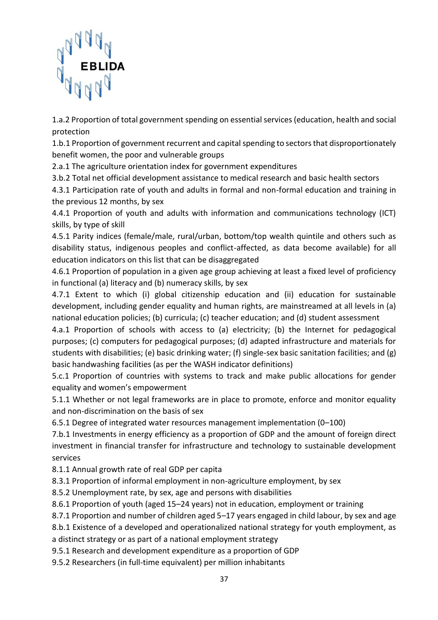

1.a.2 Proportion of total government spending on essential services (education, health and social protection

1.b.1 Proportion of government recurrent and capital spending to sectors that disproportionately benefit women, the poor and vulnerable groups

2.a.1 The agriculture orientation index for government expenditures

3.b.2 Total net official development assistance to medical research and basic health sectors

4.3.1 Participation rate of youth and adults in formal and non-formal education and training in the previous 12 months, by sex

4.4.1 Proportion of youth and adults with information and communications technology (ICT) skills, by type of skill

4.5.1 Parity indices (female/male, rural/urban, bottom/top wealth quintile and others such as disability status, indigenous peoples and conflict-affected, as data become available) for all education indicators on this list that can be disaggregated

4.6.1 Proportion of population in a given age group achieving at least a fixed level of proficiency in functional (a) literacy and (b) numeracy skills, by sex

4.7.1 Extent to which (i) global citizenship education and (ii) education for sustainable development, including gender equality and human rights, are mainstreamed at all levels in (a) national education policies; (b) curricula; (c) teacher education; and (d) student assessment

4.a.1 Proportion of schools with access to (a) electricity; (b) the Internet for pedagogical purposes; (c) computers for pedagogical purposes; (d) adapted infrastructure and materials for students with disabilities; (e) basic drinking water; (f) single-sex basic sanitation facilities; and (g) basic handwashing facilities (as per the WASH indicator definitions)

5.c.1 Proportion of countries with systems to track and make public allocations for gender equality and women's empowerment

5.1.1 Whether or not legal frameworks are in place to promote, enforce and monitor equality and non-discrimination on the basis of sex

6.5.1 Degree of integrated water resources management implementation (0–100)

7.b.1 Investments in energy efficiency as a proportion of GDP and the amount of foreign direct investment in financial transfer for infrastructure and technology to sustainable development services

8.1.1 Annual growth rate of real GDP per capita

8.3.1 Proportion of informal employment in non-agriculture employment, by sex

8.5.2 Unemployment rate, by sex, age and persons with disabilities

8.6.1 Proportion of youth (aged 15–24 years) not in education, employment or training

8.7.1 Proportion and number of children aged 5–17 years engaged in child labour, by sex and age

8.b.1 Existence of a developed and operationalized national strategy for youth employment, as a distinct strategy or as part of a national employment strategy

9.5.1 Research and development expenditure as a proportion of GDP

9.5.2 Researchers (in full-time equivalent) per million inhabitants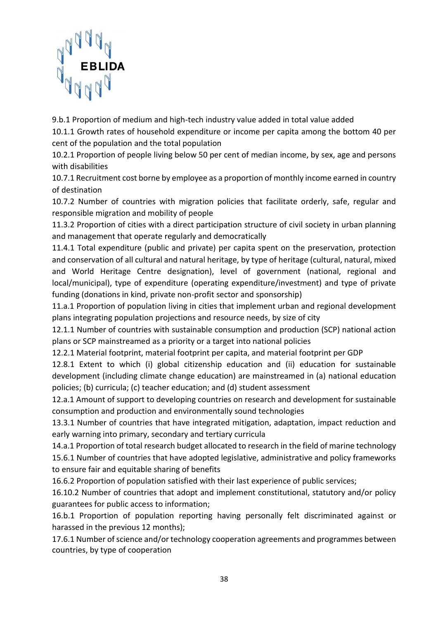

9.b.1 Proportion of medium and high-tech industry value added in total value added

10.1.1 Growth rates of household expenditure or income per capita among the bottom 40 per cent of the population and the total population

10.2.1 Proportion of people living below 50 per cent of median income, by sex, age and persons with disabilities

10.7.1 Recruitment cost borne by employee as a proportion of monthly income earned in country of destination

10.7.2 Number of countries with migration policies that facilitate orderly, safe, regular and responsible migration and mobility of people

11.3.2 Proportion of cities with a direct participation structure of civil society in urban planning and management that operate regularly and democratically

11.4.1 Total expenditure (public and private) per capita spent on the preservation, protection and conservation of all cultural and natural heritage, by type of heritage (cultural, natural, mixed and World Heritage Centre designation), level of government (national, regional and local/municipal), type of expenditure (operating expenditure/investment) and type of private funding (donations in kind, private non-profit sector and sponsorship)

11.a.1 Proportion of population living in cities that implement urban and regional development plans integrating population projections and resource needs, by size of city

12.1.1 Number of countries with sustainable consumption and production (SCP) national action plans or SCP mainstreamed as a priority or a target into national policies

12.2.1 Material footprint, material footprint per capita, and material footprint per GDP

12.8.1 Extent to which (i) global citizenship education and (ii) education for sustainable development (including climate change education) are mainstreamed in (a) national education policies; (b) curricula; (c) teacher education; and (d) student assessment

12.a.1 Amount of support to developing countries on research and development for sustainable consumption and production and environmentally sound technologies

13.3.1 Number of countries that have integrated mitigation, adaptation, impact reduction and early warning into primary, secondary and tertiary curricula

14.a.1 Proportion of total research budget allocated to research in the field of marine technology 15.6.1 Number of countries that have adopted legislative, administrative and policy frameworks to ensure fair and equitable sharing of benefits

16.6.2 Proportion of population satisfied with their last experience of public services;

16.10.2 Number of countries that adopt and implement constitutional, statutory and/or policy guarantees for public access to information;

16.b.1 Proportion of population reporting having personally felt discriminated against or harassed in the previous 12 months);

17.6.1 Number of science and/or technology cooperation agreements and programmes between countries, by type of cooperation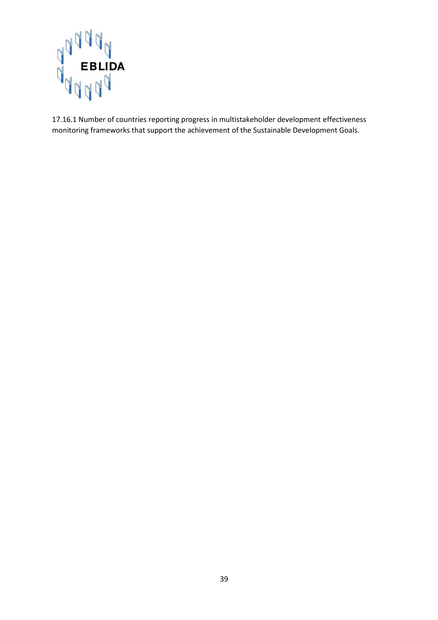

17.16.1 Number of countries reporting progress in multistakeholder development effectiveness monitoring frameworks that support the achievement of the Sustainable Development Goals.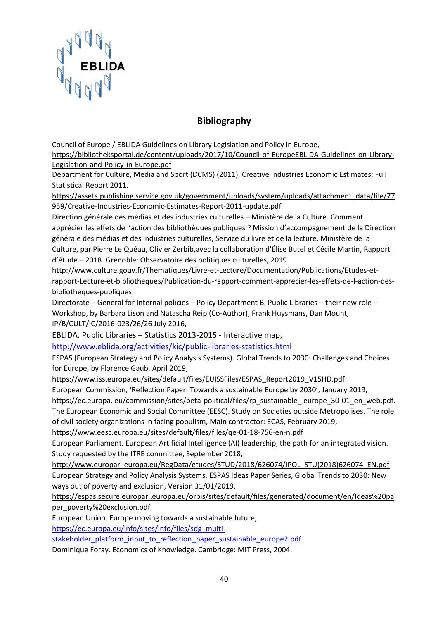

# **Bibliography**

<span id="page-39-0"></span>Council of Europe / EBLIDA Guidelines on Library Legislation and Policy in Europe,

[https://bibliotheksportal.de/content/uploads/2017/10/Council-of-EuropeEBLIDA-Guidelines-on-Library-](https://bibliotheksportal.de/content/uploads/2017/10/Council-of-EuropeEBLIDA-Guidelines-on-Library-Legislation-and-Policy-in-Europe.pdf)[Legislation-and-Policy-in-Europe.pdf](https://bibliotheksportal.de/content/uploads/2017/10/Council-of-EuropeEBLIDA-Guidelines-on-Library-Legislation-and-Policy-in-Europe.pdf)

Department for Culture, Media and Sport (DCMS) (2011). Creative Industries Economic Estimates: Full Statistical Report 2011.

[https://assets.publishing.service.gov.uk/government/uploads/system/uploads/attachment\\_data/file/77](https://assets.publishing.service.gov.uk/government/uploads/system/uploads/attachment_data/file/77959/Creative-Industries-Economic-Estimates-Report-2011-update.pdf) [959/Creative-Industries-Economic-Estimates-Report-2011-update.pdf](https://assets.publishing.service.gov.uk/government/uploads/system/uploads/attachment_data/file/77959/Creative-Industries-Economic-Estimates-Report-2011-update.pdf)

Direction générale des médias et des industries culturelles – Ministère de la Culture. Comment apprécier les effets de l'action des bibliothèques publiques ? Mission d'accompagnement de la Direction générale des médias et des industries culturelles, Service du livre et de la lecture. Ministère de la Culture, par Pierre Le Quéau, Olivier Zerbib,avec la collaboration d'Élise Butel et Cécile Martin, Rapport d'étude – 2018. Grenoble: Observatoire des politiques culturelles, 2019

[http://www.culture.gouv.fr/Thematiques/Livre-et-Lecture/Documentation/Publications/Etudes-et](http://www.culture.gouv.fr/Thematiques/Livre-et-Lecture/Documentation/Publications/Etudes-et-rapport-Lecture-et-bibliotheques/Publication-du-rapport-comment-apprecier-les-effets-de-l-action-des-bibliotheques-publiques)[rapport-Lecture-et-bibliotheques/Publication-du-rapport-comment-apprecier-les-effets-de-l-action-des](http://www.culture.gouv.fr/Thematiques/Livre-et-Lecture/Documentation/Publications/Etudes-et-rapport-Lecture-et-bibliotheques/Publication-du-rapport-comment-apprecier-les-effets-de-l-action-des-bibliotheques-publiques)[bibliotheques-publiques](http://www.culture.gouv.fr/Thematiques/Livre-et-Lecture/Documentation/Publications/Etudes-et-rapport-Lecture-et-bibliotheques/Publication-du-rapport-comment-apprecier-les-effets-de-l-action-des-bibliotheques-publiques)

Directorate – General for Internal policies – Policy Department B. Public Libraries – their new role – Workshop, by Barbara Lison and Natascha Reip (Co-Author), Frank Huysmans, Dan Mount, IP/B/CULT/IC/2016-023/26/26 July 2016,

EBLIDA. Public Libraries – Statistics 2013-2015 - Interactive map,

<http://www.eblida.org/activities/kic/public-libraries-statistics.html>

ESPAS (European Strategy and Policy Analysis Systems). Global Trends to 2030: Challenges and Choices for Europe, by Florence Gaub, April 2019,

[https://www.iss.europa.eu/sites/default/files/EUISSFiles/ESPAS\\_Report2019\\_V15HD.pdf](https://www.iss.europa.eu/sites/default/files/EUISSFiles/ESPAS_Report2019_V15HD.pdf)

European Commission, 'Reflection Paper: Towards a sustainable Europe by 2030', January 2019,

https://ec.europa. eu/commission/sites/beta-political/files/rp\_sustainable\_ europe\_30-01\_en\_web.pdf. The European Economic and Social Committee (EESC). Study on Societies outside Metropolises. The role of civil society organizations in facing populism, Main contractor: ECAS, February 2019,

[https://www.eesc.europa.eu/sites/default/files/files/qe-01-18-756-en-n.pdf](https://webmail.kb.nl/owa/redir.aspx?C=3VcN27X88npxlodxgzKu3O0p6vDHxtIuwbO1ScOLFwVWIjpSoMnWCA..&URL=https%3a%2f%2fwww.eesc.europa.eu%2fsites%2fdefault%2ffiles%2ffiles%2fqe-01-18-756-en-n.pdf)

European Parliament. European Artificial Intelligence (AI) leadership, the path for an integrated vision. Study requested by the ITRE committee, September 2018,

[http://www.europarl.europa.eu/RegData/etudes/STUD/2018/626074/IPOL\\_STU\(2018\)626074\\_EN.pdf](http://www.europarl.europa.eu/RegData/etudes/STUD/2018/626074/IPOL_STU(2018)626074_EN.pdf) European Strategy and Policy Analysis Systems. ESPAS Ideas Paper Series, Global Trends to 2030: New ways out of poverty and exclusion, Version 31/01/2019.

[https://espas.secure.europarl.europa.eu/orbis/sites/default/files/generated/document/en/Ideas%20pa](https://espas.secure.europarl.europa.eu/orbis/sites/default/files/generated/document/en/Ideas%20paper_poverty%20exclusion.pdf) [per\\_poverty%20exclusion.pdf](https://espas.secure.europarl.europa.eu/orbis/sites/default/files/generated/document/en/Ideas%20paper_poverty%20exclusion.pdf)

European Union. Europe moving towards a sustainable future;

[https://ec.europa.eu/info/sites/info/files/sdg\\_multi-](https://ec.europa.eu/info/sites/info/files/sdg_multi-stakeholder_platform_input_to_reflection_paper_sustainable_europe2.pdf)

[stakeholder\\_platform\\_input\\_to\\_reflection\\_paper\\_sustainable\\_europe2.pdf](https://ec.europa.eu/info/sites/info/files/sdg_multi-stakeholder_platform_input_to_reflection_paper_sustainable_europe2.pdf)

Dominique Foray. Economics of Knowledge. Cambridge: MIT Press, 2004.